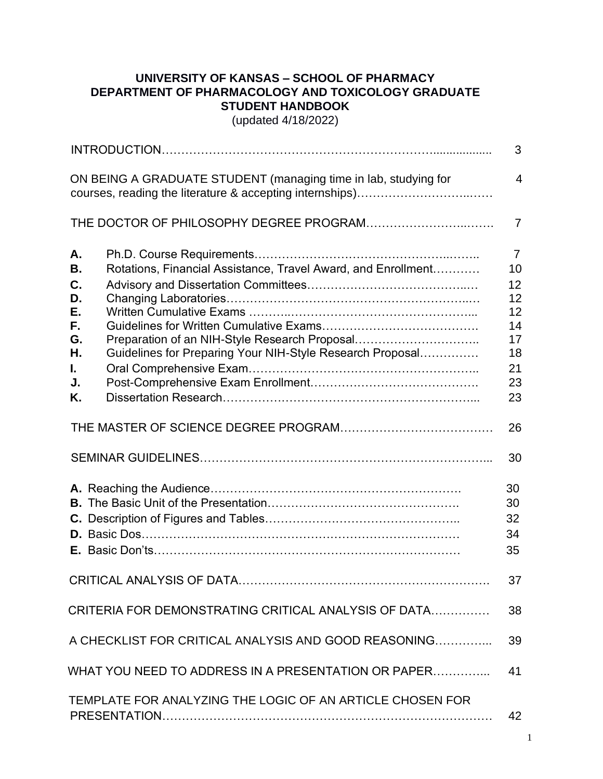## **UNIVERSITY OF KANSAS – SCHOOL OF PHARMACY DEPARTMENT OF PHARMACOLOGY AND TOXICOLOGY GRADUATE STUDENT HANDBOOK**

(updated 4/18/2022)

|                                                                     | 3               |
|---------------------------------------------------------------------|-----------------|
| ON BEING A GRADUATE STUDENT (managing time in lab, studying for     | $\overline{4}$  |
|                                                                     | $\overline{7}$  |
| Α.                                                                  | $\overline{7}$  |
| Rotations, Financial Assistance, Travel Award, and Enrollment<br>В. | 10 <sup>1</sup> |
| C.                                                                  | 12              |
| D.                                                                  | 12              |
| Е.                                                                  | 12              |
| F.                                                                  | 14              |
| G.<br>Preparation of an NIH-Style Research Proposal                 | 17              |
| Η.<br>Guidelines for Preparing Your NIH-Style Research Proposal     | 18              |
| L.                                                                  | 21              |
| J.<br>Κ.                                                            | 23<br>23        |
|                                                                     | 26              |
|                                                                     | 30              |
|                                                                     | 30              |
|                                                                     | 30              |
|                                                                     | 32              |
|                                                                     | 34              |
|                                                                     | 35              |
| CRITICAL ANALYSIS OF DATA                                           | 37              |
| CRITERIA FOR DEMONSTRATING CRITICAL ANALYSIS OF DATA                | 38              |
| A CHECKLIST FOR CRITICAL ANALYSIS AND GOOD REASONING                | 39              |
| WHAT YOU NEED TO ADDRESS IN A PRESENTATION OR PAPER                 | 41              |
| TEMPLATE FOR ANALYZING THE LOGIC OF AN ARTICLE CHOSEN FOR           |                 |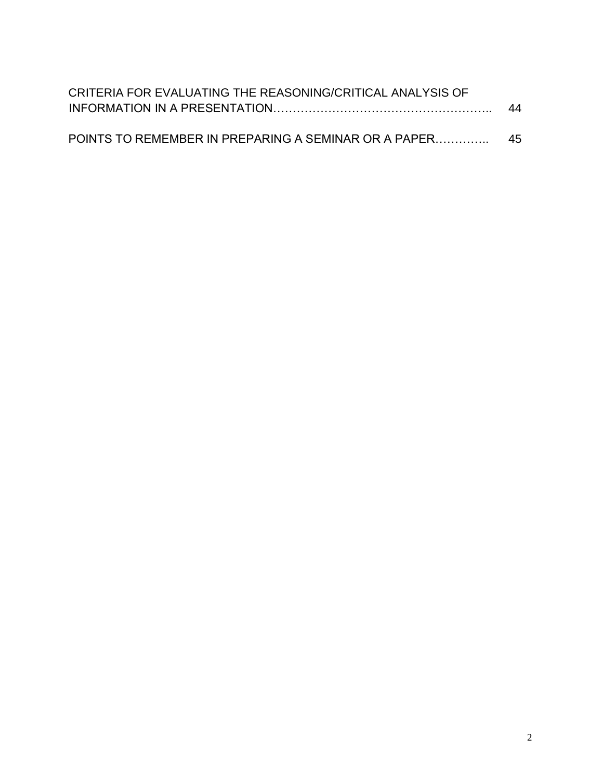| CRITERIA FOR EVALUATING THE REASONING/CRITICAL ANALYSIS OF |    |
|------------------------------------------------------------|----|
|                                                            | 44 |
|                                                            |    |
| POINTS TO REMEMBER IN PREPARING A SEMINAR OR A PAPER       | 45 |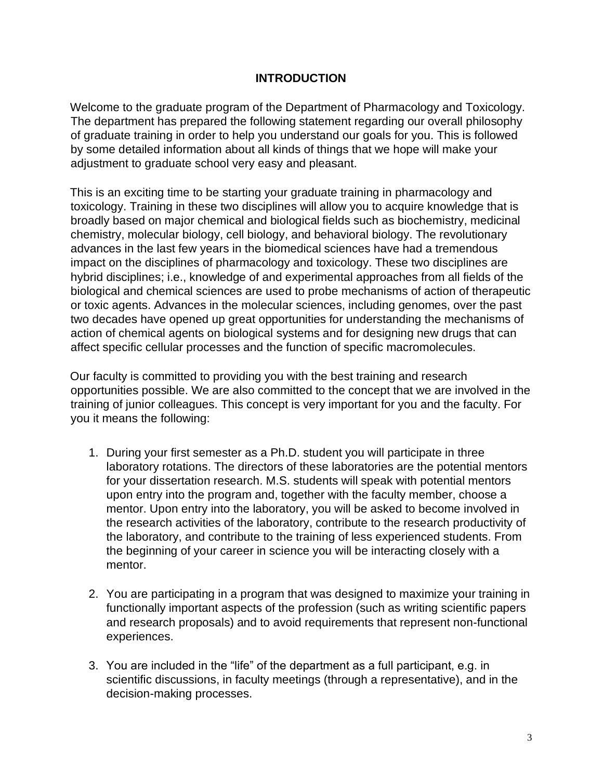### **INTRODUCTION**

Welcome to the graduate program of the Department of Pharmacology and Toxicology. The department has prepared the following statement regarding our overall philosophy of graduate training in order to help you understand our goals for you. This is followed by some detailed information about all kinds of things that we hope will make your adjustment to graduate school very easy and pleasant.

This is an exciting time to be starting your graduate training in pharmacology and toxicology. Training in these two disciplines will allow you to acquire knowledge that is broadly based on major chemical and biological fields such as biochemistry, medicinal chemistry, molecular biology, cell biology, and behavioral biology. The revolutionary advances in the last few years in the biomedical sciences have had a tremendous impact on the disciplines of pharmacology and toxicology. These two disciplines are hybrid disciplines; i.e., knowledge of and experimental approaches from all fields of the biological and chemical sciences are used to probe mechanisms of action of therapeutic or toxic agents. Advances in the molecular sciences, including genomes, over the past two decades have opened up great opportunities for understanding the mechanisms of action of chemical agents on biological systems and for designing new drugs that can affect specific cellular processes and the function of specific macromolecules.

Our faculty is committed to providing you with the best training and research opportunities possible. We are also committed to the concept that we are involved in the training of junior colleagues. This concept is very important for you and the faculty. For you it means the following:

- 1. During your first semester as a Ph.D. student you will participate in three laboratory rotations. The directors of these laboratories are the potential mentors for your dissertation research. M.S. students will speak with potential mentors upon entry into the program and, together with the faculty member, choose a mentor. Upon entry into the laboratory, you will be asked to become involved in the research activities of the laboratory, contribute to the research productivity of the laboratory, and contribute to the training of less experienced students. From the beginning of your career in science you will be interacting closely with a mentor.
- 2. You are participating in a program that was designed to maximize your training in functionally important aspects of the profession (such as writing scientific papers and research proposals) and to avoid requirements that represent non-functional experiences.
- 3. You are included in the "life" of the department as a full participant, e.g. in scientific discussions, in faculty meetings (through a representative), and in the decision-making processes.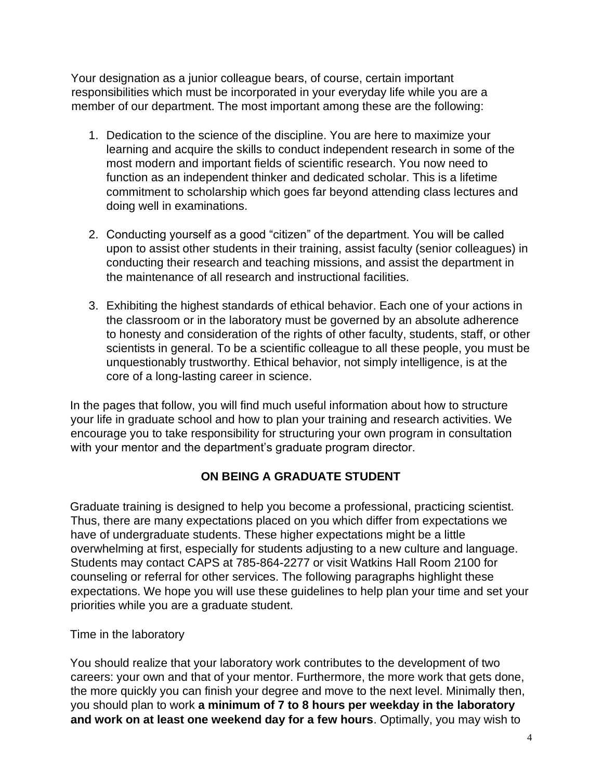Your designation as a junior colleague bears, of course, certain important responsibilities which must be incorporated in your everyday life while you are a member of our department. The most important among these are the following:

- 1. Dedication to the science of the discipline. You are here to maximize your learning and acquire the skills to conduct independent research in some of the most modern and important fields of scientific research. You now need to function as an independent thinker and dedicated scholar. This is a lifetime commitment to scholarship which goes far beyond attending class lectures and doing well in examinations.
- 2. Conducting yourself as a good "citizen" of the department. You will be called upon to assist other students in their training, assist faculty (senior colleagues) in conducting their research and teaching missions, and assist the department in the maintenance of all research and instructional facilities.
- 3. Exhibiting the highest standards of ethical behavior. Each one of your actions in the classroom or in the laboratory must be governed by an absolute adherence to honesty and consideration of the rights of other faculty, students, staff, or other scientists in general. To be a scientific colleague to all these people, you must be unquestionably trustworthy. Ethical behavior, not simply intelligence, is at the core of a long-lasting career in science.

In the pages that follow, you will find much useful information about how to structure your life in graduate school and how to plan your training and research activities. We encourage you to take responsibility for structuring your own program in consultation with your mentor and the department's graduate program director.

# **ON BEING A GRADUATE STUDENT**

Graduate training is designed to help you become a professional, practicing scientist. Thus, there are many expectations placed on you which differ from expectations we have of undergraduate students. These higher expectations might be a little overwhelming at first, especially for students adjusting to a new culture and language. Students may contact CAPS at 785-864-2277 or visit Watkins Hall Room 2100 for counseling or referral for other services. The following paragraphs highlight these expectations. We hope you will use these guidelines to help plan your time and set your priorities while you are a graduate student.

Time in the laboratory

You should realize that your laboratory work contributes to the development of two careers: your own and that of your mentor. Furthermore, the more work that gets done, the more quickly you can finish your degree and move to the next level. Minimally then, you should plan to work **a minimum of 7 to 8 hours per weekday in the laboratory and work on at least one weekend day for a few hours**. Optimally, you may wish to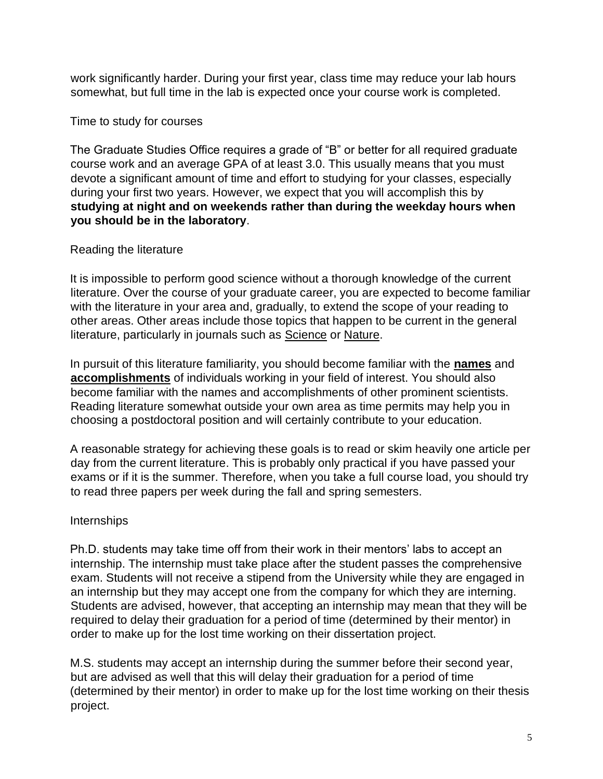work significantly harder. During your first year, class time may reduce your lab hours somewhat, but full time in the lab is expected once your course work is completed.

### Time to study for courses

The Graduate Studies Office requires a grade of "B" or better for all required graduate course work and an average GPA of at least 3.0. This usually means that you must devote a significant amount of time and effort to studying for your classes, especially during your first two years. However, we expect that you will accomplish this by **studying at night and on weekends rather than during the weekday hours when you should be in the laboratory**.

### Reading the literature

It is impossible to perform good science without a thorough knowledge of the current literature. Over the course of your graduate career, you are expected to become familiar with the literature in your area and, gradually, to extend the scope of your reading to other areas. Other areas include those topics that happen to be current in the general literature, particularly in journals such as Science or Nature.

In pursuit of this literature familiarity, you should become familiar with the **names** and **accomplishments** of individuals working in your field of interest. You should also become familiar with the names and accomplishments of other prominent scientists. Reading literature somewhat outside your own area as time permits may help you in choosing a postdoctoral position and will certainly contribute to your education.

A reasonable strategy for achieving these goals is to read or skim heavily one article per day from the current literature. This is probably only practical if you have passed your exams or if it is the summer. Therefore, when you take a full course load, you should try to read three papers per week during the fall and spring semesters.

### **Internships**

Ph.D. students may take time off from their work in their mentors' labs to accept an internship. The internship must take place after the student passes the comprehensive exam. Students will not receive a stipend from the University while they are engaged in an internship but they may accept one from the company for which they are interning. Students are advised, however, that accepting an internship may mean that they will be required to delay their graduation for a period of time (determined by their mentor) in order to make up for the lost time working on their dissertation project.

M.S. students may accept an internship during the summer before their second year, but are advised as well that this will delay their graduation for a period of time (determined by their mentor) in order to make up for the lost time working on their thesis project.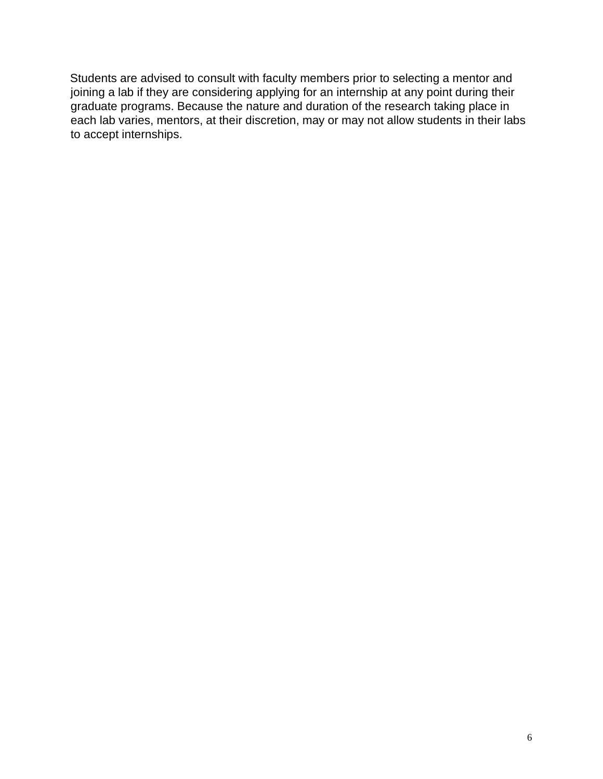Students are advised to consult with faculty members prior to selecting a mentor and joining a lab if they are considering applying for an internship at any point during their graduate programs. Because the nature and duration of the research taking place in each lab varies, mentors, at their discretion, may or may not allow students in their labs to accept internships.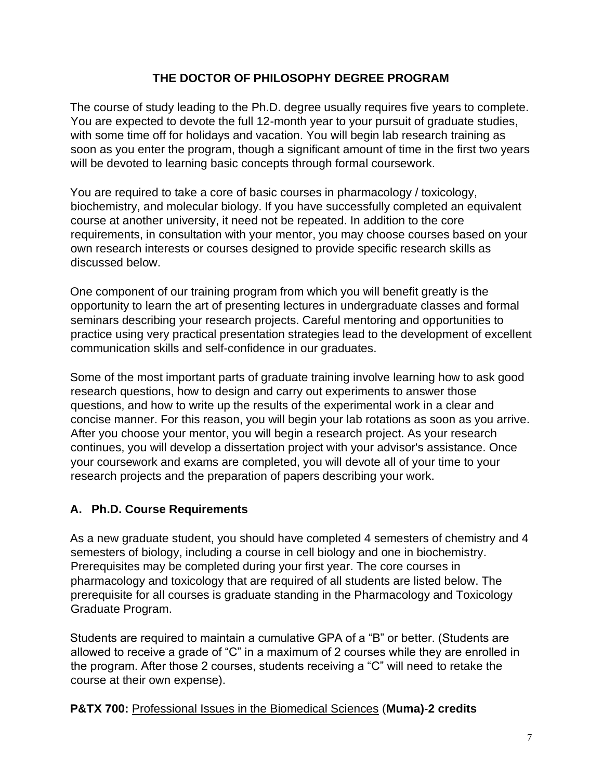## **THE DOCTOR OF PHILOSOPHY DEGREE PROGRAM**

The course of study leading to the Ph.D. degree usually requires five years to complete. You are expected to devote the full 12-month year to your pursuit of graduate studies, with some time off for holidays and vacation. You will begin lab research training as soon as you enter the program, though a significant amount of time in the first two years will be devoted to learning basic concepts through formal coursework.

You are required to take a core of basic courses in pharmacology / toxicology, biochemistry, and molecular biology. If you have successfully completed an equivalent course at another university, it need not be repeated. In addition to the core requirements, in consultation with your mentor, you may choose courses based on your own research interests or courses designed to provide specific research skills as discussed below.

One component of our training program from which you will benefit greatly is the opportunity to learn the art of presenting lectures in undergraduate classes and formal seminars describing your research projects. Careful mentoring and opportunities to practice using very practical presentation strategies lead to the development of excellent communication skills and self-confidence in our graduates.

Some of the most important parts of graduate training involve learning how to ask good research questions, how to design and carry out experiments to answer those questions, and how to write up the results of the experimental work in a clear and concise manner. For this reason, you will begin your lab rotations as soon as you arrive. After you choose your mentor, you will begin a research project. As your research continues, you will develop a dissertation project with your advisor's assistance. Once your coursework and exams are completed, you will devote all of your time to your research projects and the preparation of papers describing your work.

# **A. Ph.D. Course Requirements**

As a new graduate student, you should have completed 4 semesters of chemistry and 4 semesters of biology, including a course in cell biology and one in biochemistry. Prerequisites may be completed during your first year. The core courses in pharmacology and toxicology that are required of all students are listed below. The prerequisite for all courses is graduate standing in the Pharmacology and Toxicology Graduate Program.

Students are required to maintain a cumulative GPA of a "B" or better. (Students are allowed to receive a grade of "C" in a maximum of 2 courses while they are enrolled in the program. After those 2 courses, students receiving a "C" will need to retake the course at their own expense).

### **P&TX 700:** Professional Issues in the Biomedical Sciences (**Muma)**-**2 credits**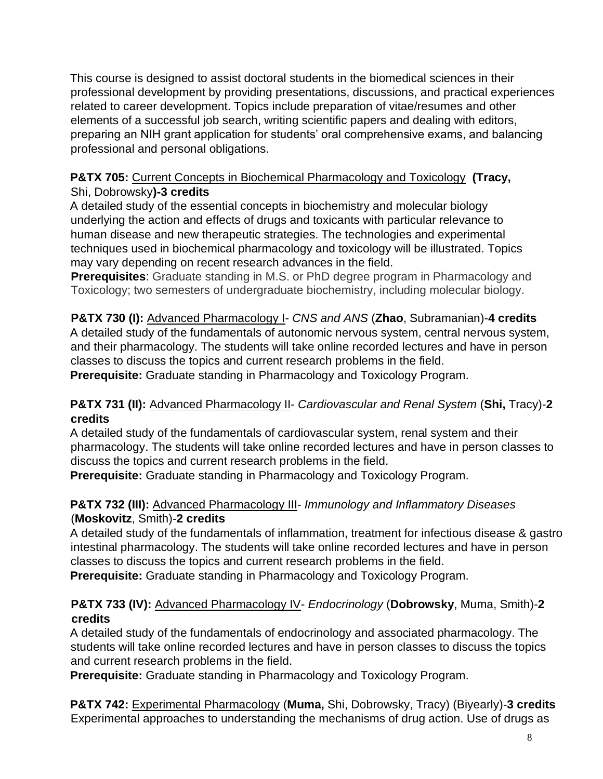This course is designed to assist doctoral students in the biomedical sciences in their professional development by providing presentations, discussions, and practical experiences related to career development. Topics include preparation of vitae/resumes and other elements of a successful job search, writing scientific papers and dealing with editors, preparing an NIH grant application for students' oral comprehensive exams, and balancing professional and personal obligations.

### **P&TX 705:** Current Concepts in Biochemical Pharmacology and Toxicology **(Tracy,**  Shi, Dobrowsky**)-3 credits**

A detailed study of the essential concepts in biochemistry and molecular biology underlying the action and effects of drugs and toxicants with particular relevance to human disease and new therapeutic strategies. The technologies and experimental techniques used in biochemical pharmacology and toxicology will be illustrated. Topics may vary depending on recent research advances in the field.

**Prerequisites:** Graduate standing in M.S. or PhD degree program in Pharmacology and Toxicology; two semesters of undergraduate biochemistry, including molecular biology.

**P&TX 730 (I):** Advanced Pharmacology I- *CNS and ANS* (**Zhao**, Subramanian)-**4 credits** A detailed study of the fundamentals of autonomic nervous system, central nervous system, and their pharmacology. The students will take online recorded lectures and have in person classes to discuss the topics and current research problems in the field. **Prerequisite:** Graduate standing in Pharmacology and Toxicology Program.

## **P&TX 731 (II):** Advanced Pharmacology II- *Cardiovascular and Renal System* (**Shi,** Tracy)-**2 credits**

A detailed study of the fundamentals of cardiovascular system, renal system and their pharmacology. The students will take online recorded lectures and have in person classes to discuss the topics and current research problems in the field.

**Prerequisite:** Graduate standing in Pharmacology and Toxicology Program.

## **P&TX 732 (III):** Advanced Pharmacology III- *Immunology and Inflammatory Diseases* (**Moskovitz**, Smith)-**2 credits**

A detailed study of the fundamentals of inflammation, treatment for infectious disease & gastro intestinal pharmacology. The students will take online recorded lectures and have in person classes to discuss the topics and current research problems in the field.

**Prerequisite:** Graduate standing in Pharmacology and Toxicology Program.

# **P&TX 733 (IV):** Advanced Pharmacology IV- *Endocrinology* (**Dobrowsky**, Muma, Smith)-**2 credits**

A detailed study of the fundamentals of endocrinology and associated pharmacology. The students will take online recorded lectures and have in person classes to discuss the topics and current research problems in the field.

**Prerequisite:** Graduate standing in Pharmacology and Toxicology Program.

**P&TX 742:** Experimental Pharmacology (**Muma,** Shi, Dobrowsky, Tracy) (Biyearly)-**3 credits** Experimental approaches to understanding the mechanisms of drug action. Use of drugs as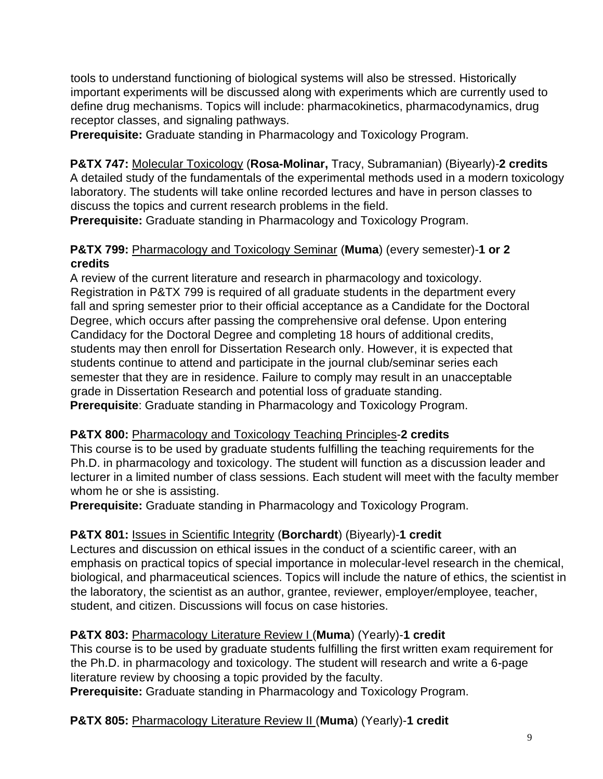tools to understand functioning of biological systems will also be stressed. Historically important experiments will be discussed along with experiments which are currently used to define drug mechanisms. Topics will include: pharmacokinetics, pharmacodynamics, drug receptor classes, and signaling pathways.

**Prerequisite:** Graduate standing in Pharmacology and Toxicology Program.

**P&TX 747:** Molecular Toxicology (**Rosa-Molinar,** Tracy, Subramanian) (Biyearly)-**2 credits** A detailed study of the fundamentals of the experimental methods used in a modern toxicology laboratory. The students will take online recorded lectures and have in person classes to discuss the topics and current research problems in the field.

**Prerequisite:** Graduate standing in Pharmacology and Toxicology Program.

### **P&TX 799:** Pharmacology and Toxicology Seminar (**Muma**) (every semester)-**1 or 2 credits**

A review of the current literature and research in pharmacology and toxicology. Registration in P&TX 799 is required of all graduate students in the department every fall and spring semester prior to their official acceptance as a Candidate for the Doctoral Degree, which occurs after passing the comprehensive oral defense. Upon entering Candidacy for the Doctoral Degree and completing 18 hours of additional credits, students may then enroll for Dissertation Research only. However, it is expected that students continue to attend and participate in the journal club/seminar series each semester that they are in residence. Failure to comply may result in an unacceptable grade in Dissertation Research and potential loss of graduate standing. **Prerequisite**: Graduate standing in Pharmacology and Toxicology Program.

### **P&TX 800:** Pharmacology and Toxicology Teaching Principles-**2 credits**

This course is to be used by graduate students fulfilling the teaching requirements for the Ph.D. in pharmacology and toxicology. The student will function as a discussion leader and lecturer in a limited number of class sessions. Each student will meet with the faculty member whom he or she is assisting.

**Prerequisite:** Graduate standing in Pharmacology and Toxicology Program.

# **P&TX 801:** Issues in Scientific Integrity (**Borchardt**) (Biyearly)-**1 credit**

Lectures and discussion on ethical issues in the conduct of a scientific career, with an emphasis on practical topics of special importance in molecular-level research in the chemical, biological, and pharmaceutical sciences. Topics will include the nature of ethics, the scientist in the laboratory, the scientist as an author, grantee, reviewer, employer/employee, teacher, student, and citizen. Discussions will focus on case histories.

# **P&TX 803:** Pharmacology Literature Review I (**Muma**) (Yearly)-**1 credit**

This course is to be used by graduate students fulfilling the first written exam requirement for the Ph.D. in pharmacology and toxicology. The student will research and write a 6-page literature review by choosing a topic provided by the faculty.

**Prerequisite:** Graduate standing in Pharmacology and Toxicology Program.

# **P&TX 805:** Pharmacology Literature Review II (**Muma**) (Yearly)-**1 credit**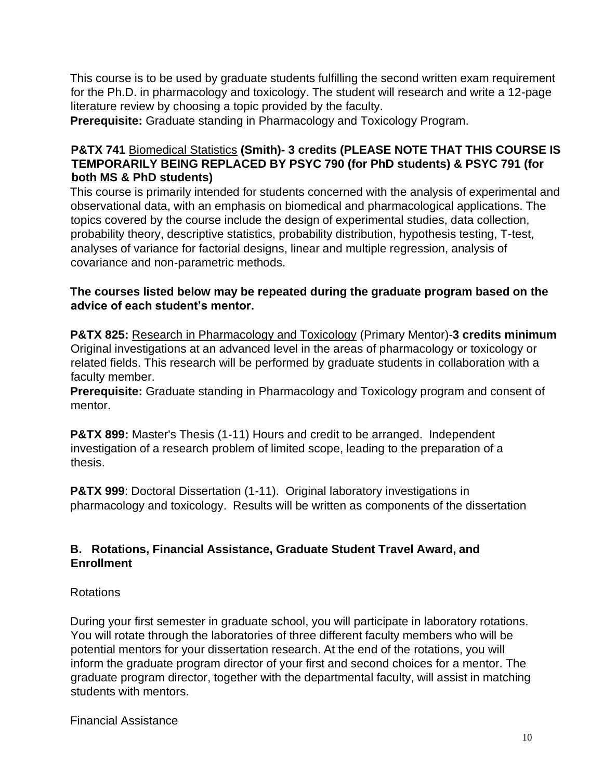This course is to be used by graduate students fulfilling the second written exam requirement for the Ph.D. in pharmacology and toxicology. The student will research and write a 12-page literature review by choosing a topic provided by the faculty.

**Prerequisite:** Graduate standing in Pharmacology and Toxicology Program.

### **P&TX 741** Biomedical Statistics **(Smith)- 3 credits (PLEASE NOTE THAT THIS COURSE IS TEMPORARILY BEING REPLACED BY PSYC 790 (for PhD students) & PSYC 791 (for both MS & PhD students)**

This course is primarily intended for students concerned with the analysis of experimental and observational data, with an emphasis on biomedical and pharmacological applications. The topics covered by the course include the design of experimental studies, data collection, probability theory, descriptive statistics, probability distribution, hypothesis testing, T-test, analyses of variance for factorial designs, linear and multiple regression, analysis of covariance and non-parametric methods.

### **The courses listed below may be repeated during the graduate program based on the advice of each student's mentor.**

**P&TX 825:** Research in Pharmacology and Toxicology (Primary Mentor)-**3 credits minimum** Original investigations at an advanced level in the areas of pharmacology or toxicology or related fields. This research will be performed by graduate students in collaboration with a faculty member.

**Prerequisite:** Graduate standing in Pharmacology and Toxicology program and consent of mentor.

**P&TX 899:** Master's Thesis (1-11) Hours and credit to be arranged. Independent investigation of a research problem of limited scope, leading to the preparation of a thesis.

**P&TX 999**: Doctoral Dissertation (1-11). Original laboratory investigations in pharmacology and toxicology. Results will be written as components of the dissertation

### **B. Rotations, Financial Assistance, Graduate Student Travel Award, and Enrollment**

### Rotations

During your first semester in graduate school, you will participate in laboratory rotations. You will rotate through the laboratories of three different faculty members who will be potential mentors for your dissertation research. At the end of the rotations, you will inform the graduate program director of your first and second choices for a mentor. The graduate program director, together with the departmental faculty, will assist in matching students with mentors.

Financial Assistance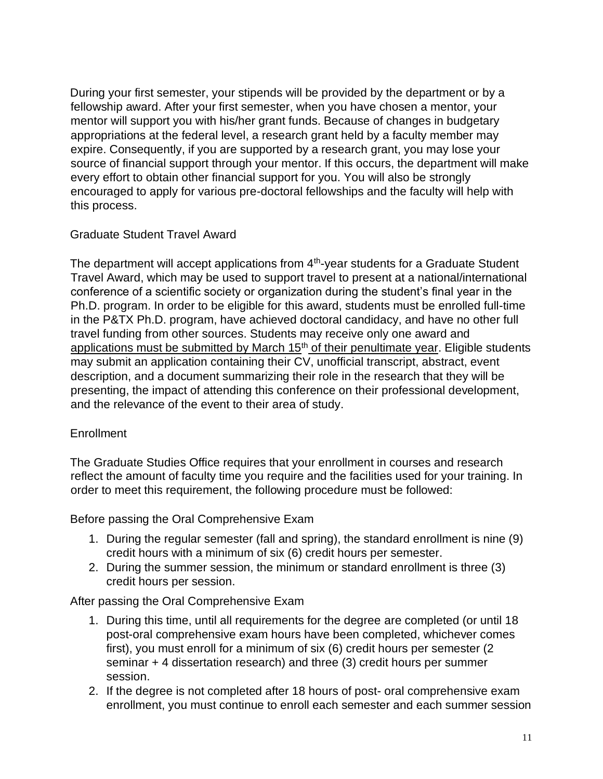During your first semester, your stipends will be provided by the department or by a fellowship award. After your first semester, when you have chosen a mentor, your mentor will support you with his/her grant funds. Because of changes in budgetary appropriations at the federal level, a research grant held by a faculty member may expire. Consequently, if you are supported by a research grant, you may lose your source of financial support through your mentor. If this occurs, the department will make every effort to obtain other financial support for you. You will also be strongly encouraged to apply for various pre-doctoral fellowships and the faculty will help with this process.

### Graduate Student Travel Award

The department will accept applications from  $4<sup>th</sup>$ -year students for a Graduate Student Travel Award, which may be used to support travel to present at a national/international conference of a scientific society or organization during the student's final year in the Ph.D. program. In order to be eligible for this award, students must be enrolled full-time in the P&TX Ph.D. program, have achieved doctoral candidacy, and have no other full travel funding from other sources. Students may receive only one award and applications must be submitted by March  $15<sup>th</sup>$  of their penultimate year. Eligible students may submit an application containing their CV, unofficial transcript, abstract, event description, and a document summarizing their role in the research that they will be presenting, the impact of attending this conference on their professional development, and the relevance of the event to their area of study.

#### **Enrollment**

The Graduate Studies Office requires that your enrollment in courses and research reflect the amount of faculty time you require and the facilities used for your training. In order to meet this requirement, the following procedure must be followed:

Before passing the Oral Comprehensive Exam

- 1. During the regular semester (fall and spring), the standard enrollment is nine (9) credit hours with a minimum of six (6) credit hours per semester.
- 2. During the summer session, the minimum or standard enrollment is three (3) credit hours per session.

#### After passing the Oral Comprehensive Exam

- 1. During this time, until all requirements for the degree are completed (or until 18 post-oral comprehensive exam hours have been completed, whichever comes first), you must enroll for a minimum of six (6) credit hours per semester (2 seminar + 4 dissertation research) and three (3) credit hours per summer session.
- 2. If the degree is not completed after 18 hours of post- oral comprehensive exam enrollment, you must continue to enroll each semester and each summer session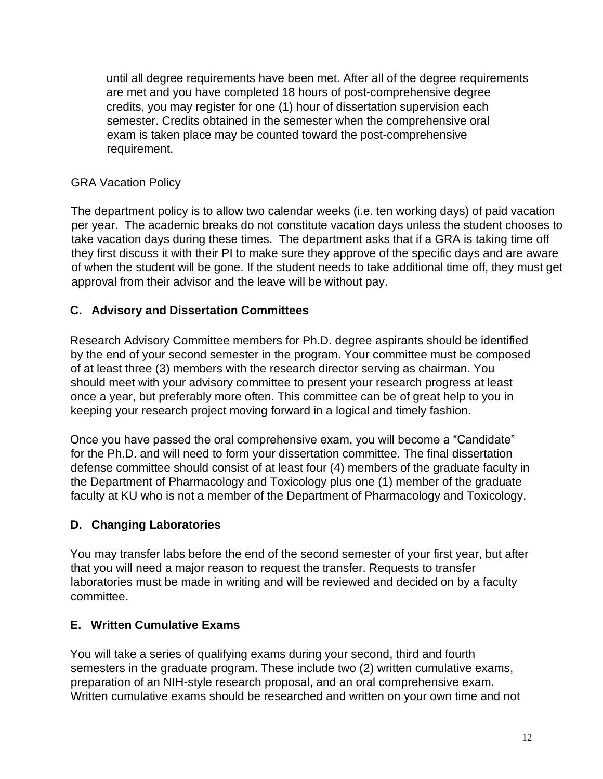until all degree requirements have been met. After all of the degree requirements are met and you have completed 18 hours of post-comprehensive degree credits, you may register for one (1) hour of dissertation supervision each semester. Credits obtained in the semester when the comprehensive oral exam is taken place may be counted toward the post-comprehensive requirement.

## GRA Vacation Policy

The department policy is to allow two calendar weeks (i.e. ten working days) of paid vacation per year. The academic breaks do not constitute vacation days unless the student chooses to take vacation days during these times. The department asks that if a GRA is taking time off they first discuss it with their PI to make sure they approve of the specific days and are aware of when the student will be gone. If the student needs to take additional time off, they must get approval from their advisor and the leave will be without pay.

## **C. Advisory and Dissertation Committees**

Research Advisory Committee members for Ph.D. degree aspirants should be identified by the end of your second semester in the program. Your committee must be composed of at least three (3) members with the research director serving as chairman. You should meet with your advisory committee to present your research progress at least once a year, but preferably more often. This committee can be of great help to you in keeping your research project moving forward in a logical and timely fashion.

Once you have passed the oral comprehensive exam, you will become a "Candidate" for the Ph.D. and will need to form your dissertation committee. The final dissertation defense committee should consist of at least four (4) members of the graduate faculty in the Department of Pharmacology and Toxicology plus one (1) member of the graduate faculty at KU who is not a member of the Department of Pharmacology and Toxicology.

# **D. Changing Laboratories**

You may transfer labs before the end of the second semester of your first year, but after that you will need a major reason to request the transfer. Requests to transfer laboratories must be made in writing and will be reviewed and decided on by a faculty committee.

# **E. Written Cumulative Exams**

You will take a series of qualifying exams during your second, third and fourth semesters in the graduate program. These include two (2) written cumulative exams, preparation of an NIH-style research proposal, and an oral comprehensive exam. Written cumulative exams should be researched and written on your own time and not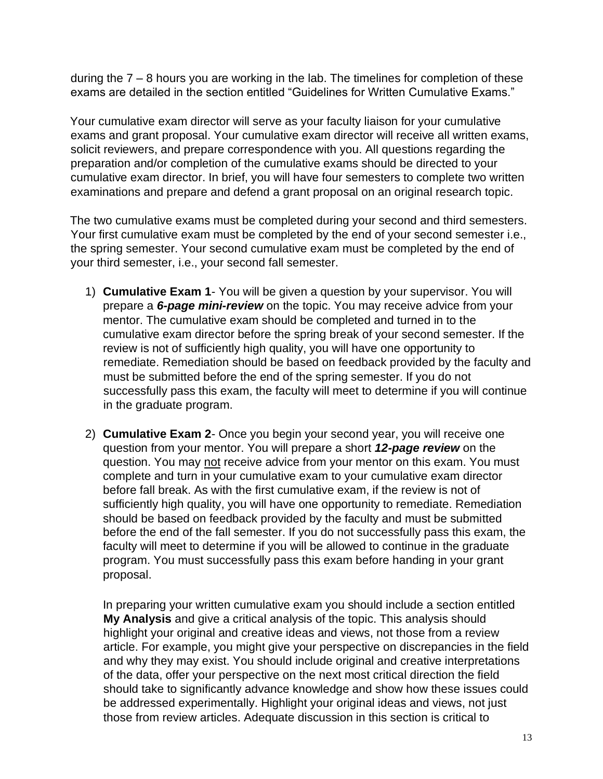during the 7 – 8 hours you are working in the lab. The timelines for completion of these exams are detailed in the section entitled "Guidelines for Written Cumulative Exams."

Your cumulative exam director will serve as your faculty liaison for your cumulative exams and grant proposal. Your cumulative exam director will receive all written exams, solicit reviewers, and prepare correspondence with you. All questions regarding the preparation and/or completion of the cumulative exams should be directed to your cumulative exam director. In brief, you will have four semesters to complete two written examinations and prepare and defend a grant proposal on an original research topic.

The two cumulative exams must be completed during your second and third semesters. Your first cumulative exam must be completed by the end of your second semester i.e., the spring semester. Your second cumulative exam must be completed by the end of your third semester, i.e., your second fall semester.

- 1) **Cumulative Exam 1** You will be given a question by your supervisor. You will prepare a *6-page mini-review* on the topic. You may receive advice from your mentor. The cumulative exam should be completed and turned in to the cumulative exam director before the spring break of your second semester. If the review is not of sufficiently high quality, you will have one opportunity to remediate. Remediation should be based on feedback provided by the faculty and must be submitted before the end of the spring semester. If you do not successfully pass this exam, the faculty will meet to determine if you will continue in the graduate program.
- 2) **Cumulative Exam 2** Once you begin your second year, you will receive one question from your mentor. You will prepare a short *12-page review* on the question. You may not receive advice from your mentor on this exam. You must complete and turn in your cumulative exam to your cumulative exam director before fall break. As with the first cumulative exam, if the review is not of sufficiently high quality, you will have one opportunity to remediate. Remediation should be based on feedback provided by the faculty and must be submitted before the end of the fall semester. If you do not successfully pass this exam, the faculty will meet to determine if you will be allowed to continue in the graduate program. You must successfully pass this exam before handing in your grant proposal.

In preparing your written cumulative exam you should include a section entitled **My Analysis** and give a critical analysis of the topic. This analysis should highlight your original and creative ideas and views, not those from a review article. For example, you might give your perspective on discrepancies in the field and why they may exist. You should include original and creative interpretations of the data, offer your perspective on the next most critical direction the field should take to significantly advance knowledge and show how these issues could be addressed experimentally. Highlight your original ideas and views, not just those from review articles. Adequate discussion in this section is critical to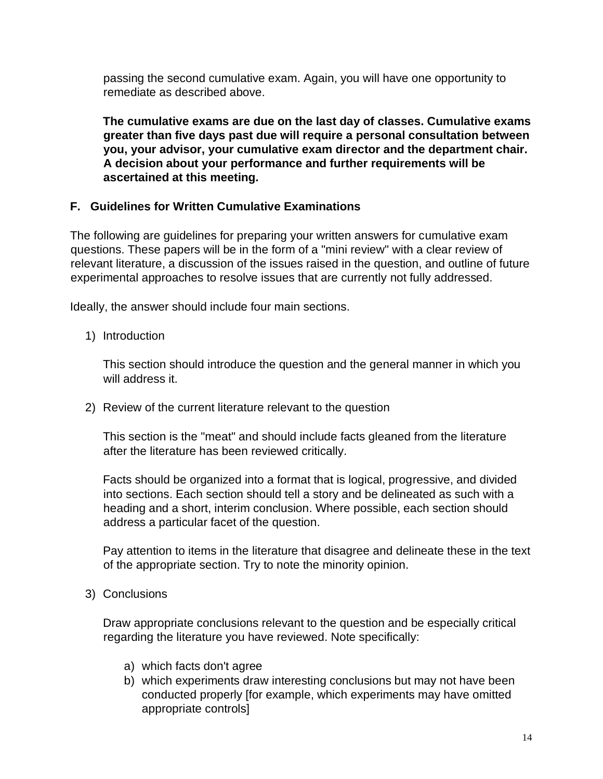passing the second cumulative exam. Again, you will have one opportunity to remediate as described above.

**The cumulative exams are due on the last day of classes. Cumulative exams greater than five days past due will require a personal consultation between you, your advisor, your cumulative exam director and the department chair. A decision about your performance and further requirements will be ascertained at this meeting.**

## **F. Guidelines for Written Cumulative Examinations**

The following are guidelines for preparing your written answers for cumulative exam questions. These papers will be in the form of a "mini review" with a clear review of relevant literature, a discussion of the issues raised in the question, and outline of future experimental approaches to resolve issues that are currently not fully addressed.

Ideally, the answer should include four main sections.

1) Introduction

This section should introduce the question and the general manner in which you will address it.

2) Review of the current literature relevant to the question

This section is the "meat" and should include facts gleaned from the literature after the literature has been reviewed critically.

Facts should be organized into a format that is logical, progressive, and divided into sections. Each section should tell a story and be delineated as such with a heading and a short, interim conclusion. Where possible, each section should address a particular facet of the question.

Pay attention to items in the literature that disagree and delineate these in the text of the appropriate section. Try to note the minority opinion.

### 3) Conclusions

Draw appropriate conclusions relevant to the question and be especially critical regarding the literature you have reviewed. Note specifically:

- a) which facts don't agree
- b) which experiments draw interesting conclusions but may not have been conducted properly [for example, which experiments may have omitted appropriate controls]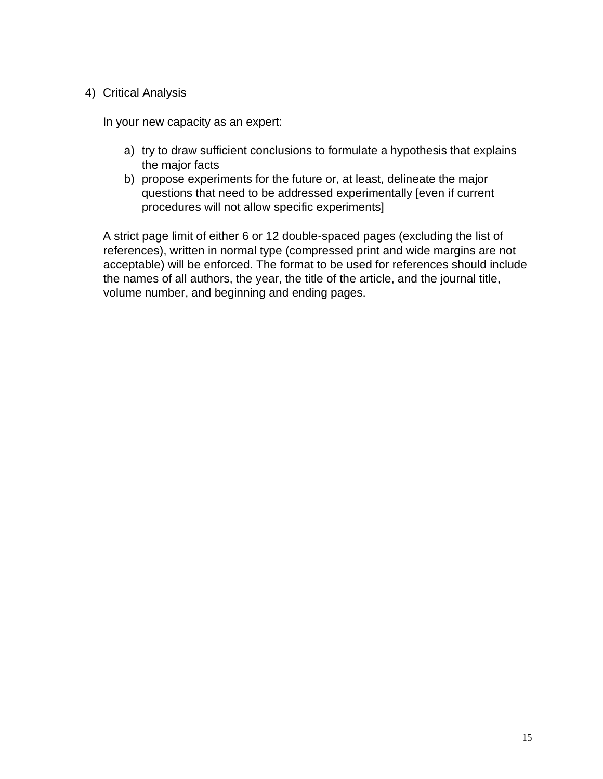### 4) Critical Analysis

In your new capacity as an expert:

- a) try to draw sufficient conclusions to formulate a hypothesis that explains the major facts
- b) propose experiments for the future or, at least, delineate the major questions that need to be addressed experimentally [even if current procedures will not allow specific experiments]

A strict page limit of either 6 or 12 double-spaced pages (excluding the list of references), written in normal type (compressed print and wide margins are not acceptable) will be enforced. The format to be used for references should include the names of all authors, the year, the title of the article, and the journal title, volume number, and beginning and ending pages.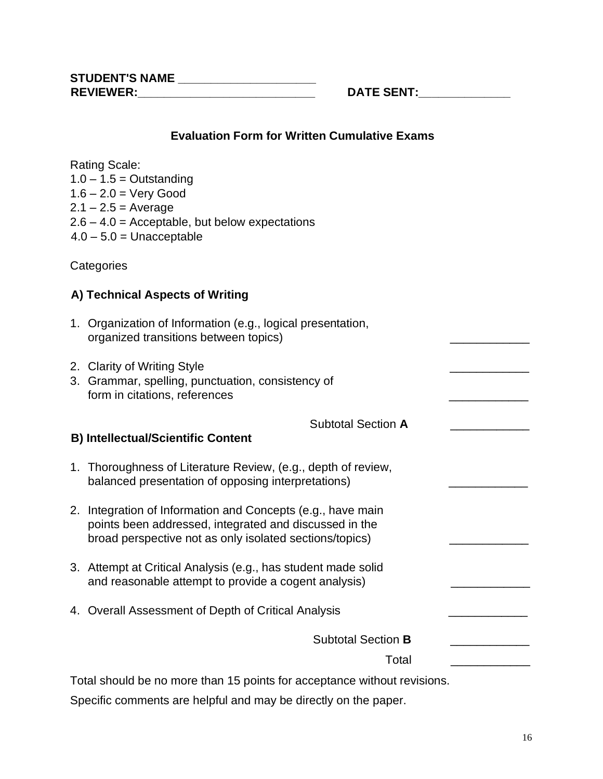### **Evaluation Form for Written Cumulative Exams**

Rating Scale:  $1.0 - 1.5 =$  Outstanding  $1.6 - 2.0 =$  Very Good  $2.1 - 2.5 =$  Average  $2.6 - 4.0 =$  Acceptable, but below expectations  $4.0 - 5.0 =$  Unacceptable

**Categories** 

# **A) Technical Aspects of Writing**

| 1. Organization of Information (e.g., logical presentation, |  |
|-------------------------------------------------------------|--|
| organized transitions between topics)                       |  |

2. Clarity of Writing Style

| 3. Grammar, spelling, punctuation, consistency of |  |
|---------------------------------------------------|--|
| form in citations, references                     |  |

Subtotal Section **A** \_\_\_\_\_\_\_\_\_\_\_\_

### **B) Intellectual/Scientific Content**

- 1. Thoroughness of Literature Review, (e.g., depth of review, balanced presentation of opposing interpretations)
- 2. Integration of Information and Concepts (e.g., have main points been addressed, integrated and discussed in the broad perspective not as only isolated sections/topics)
- 3. Attempt at Critical Analysis (e.g., has student made solid and reasonable attempt to provide a cogent analysis)
- 4. Overall Assessment of Depth of Critical Analysis

Subtotal Section **B** \_\_\_\_\_\_\_\_\_\_\_\_

Total \_\_\_\_\_\_\_\_\_\_\_\_

Total should be no more than 15 points for acceptance without revisions.

Specific comments are helpful and may be directly on the paper.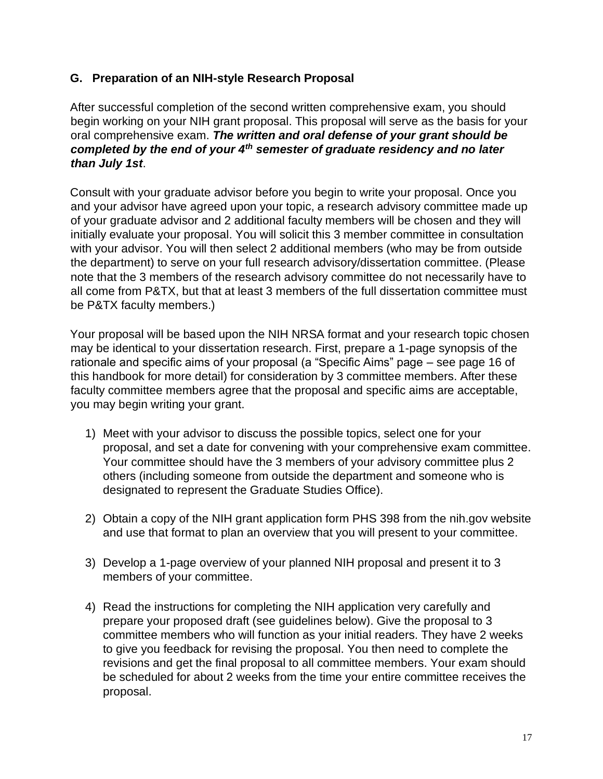### **G. Preparation of an NIH-style Research Proposal**

After successful completion of the second written comprehensive exam, you should begin working on your NIH grant proposal. This proposal will serve as the basis for your oral comprehensive exam. *The written and oral defense of your grant should be completed by the end of your 4th semester of graduate residency and no later than July 1st*.

Consult with your graduate advisor before you begin to write your proposal. Once you and your advisor have agreed upon your topic, a research advisory committee made up of your graduate advisor and 2 additional faculty members will be chosen and they will initially evaluate your proposal. You will solicit this 3 member committee in consultation with your advisor. You will then select 2 additional members (who may be from outside the department) to serve on your full research advisory/dissertation committee. (Please note that the 3 members of the research advisory committee do not necessarily have to all come from P&TX, but that at least 3 members of the full dissertation committee must be P&TX faculty members.)

Your proposal will be based upon the NIH NRSA format and your research topic chosen may be identical to your dissertation research. First, prepare a 1-page synopsis of the rationale and specific aims of your proposal (a "Specific Aims" page – see page 16 of this handbook for more detail) for consideration by 3 committee members. After these faculty committee members agree that the proposal and specific aims are acceptable, you may begin writing your grant.

- 1) Meet with your advisor to discuss the possible topics, select one for your proposal, and set a date for convening with your comprehensive exam committee. Your committee should have the 3 members of your advisory committee plus 2 others (including someone from outside the department and someone who is designated to represent the Graduate Studies Office).
- 2) Obtain a copy of the NIH grant application form PHS 398 from the nih.gov website and use that format to plan an overview that you will present to your committee.
- 3) Develop a 1-page overview of your planned NIH proposal and present it to 3 members of your committee.
- 4) Read the instructions for completing the NIH application very carefully and prepare your proposed draft (see guidelines below). Give the proposal to 3 committee members who will function as your initial readers. They have 2 weeks to give you feedback for revising the proposal. You then need to complete the revisions and get the final proposal to all committee members. Your exam should be scheduled for about 2 weeks from the time your entire committee receives the proposal.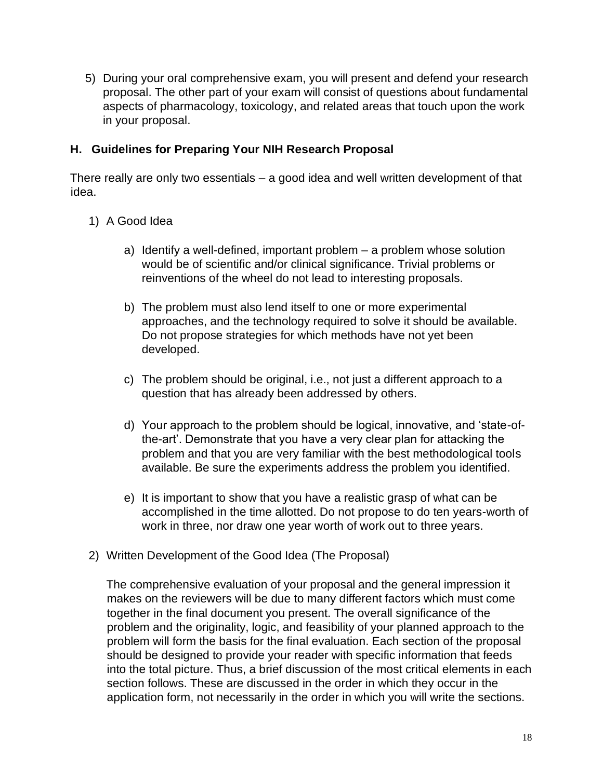5) During your oral comprehensive exam, you will present and defend your research proposal. The other part of your exam will consist of questions about fundamental aspects of pharmacology, toxicology, and related areas that touch upon the work in your proposal.

### **H. Guidelines for Preparing Your NIH Research Proposal**

There really are only two essentials – a good idea and well written development of that idea.

- 1) A Good Idea
	- a) Identify a well-defined, important problem a problem whose solution would be of scientific and/or clinical significance. Trivial problems or reinventions of the wheel do not lead to interesting proposals.
	- b) The problem must also lend itself to one or more experimental approaches, and the technology required to solve it should be available. Do not propose strategies for which methods have not yet been developed.
	- c) The problem should be original, i.e., not just a different approach to a question that has already been addressed by others.
	- d) Your approach to the problem should be logical, innovative, and 'state-ofthe-art'. Demonstrate that you have a very clear plan for attacking the problem and that you are very familiar with the best methodological tools available. Be sure the experiments address the problem you identified.
	- e) It is important to show that you have a realistic grasp of what can be accomplished in the time allotted. Do not propose to do ten years-worth of work in three, nor draw one year worth of work out to three years.
- 2) Written Development of the Good Idea (The Proposal)

The comprehensive evaluation of your proposal and the general impression it makes on the reviewers will be due to many different factors which must come together in the final document you present. The overall significance of the problem and the originality, logic, and feasibility of your planned approach to the problem will form the basis for the final evaluation. Each section of the proposal should be designed to provide your reader with specific information that feeds into the total picture. Thus, a brief discussion of the most critical elements in each section follows. These are discussed in the order in which they occur in the application form, not necessarily in the order in which you will write the sections.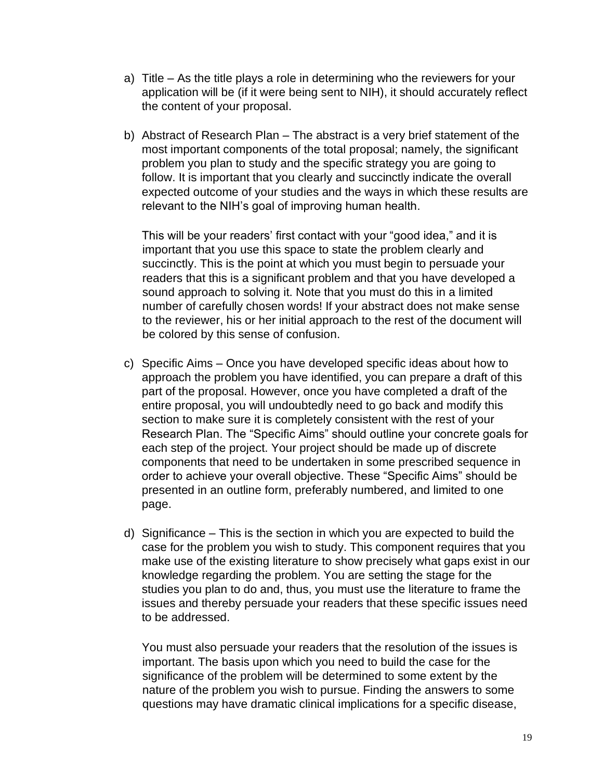- a) Title As the title plays a role in determining who the reviewers for your application will be (if it were being sent to NIH), it should accurately reflect the content of your proposal.
- b) Abstract of Research Plan The abstract is a very brief statement of the most important components of the total proposal; namely, the significant problem you plan to study and the specific strategy you are going to follow. It is important that you clearly and succinctly indicate the overall expected outcome of your studies and the ways in which these results are relevant to the NIH's goal of improving human health.

This will be your readers' first contact with your "good idea," and it is important that you use this space to state the problem clearly and succinctly. This is the point at which you must begin to persuade your readers that this is a significant problem and that you have developed a sound approach to solving it. Note that you must do this in a limited number of carefully chosen words! If your abstract does not make sense to the reviewer, his or her initial approach to the rest of the document will be colored by this sense of confusion.

- c) Specific Aims Once you have developed specific ideas about how to approach the problem you have identified, you can prepare a draft of this part of the proposal. However, once you have completed a draft of the entire proposal, you will undoubtedly need to go back and modify this section to make sure it is completely consistent with the rest of your Research Plan. The "Specific Aims" should outline your concrete goals for each step of the project. Your project should be made up of discrete components that need to be undertaken in some prescribed sequence in order to achieve your overall objective. These "Specific Aims" should be presented in an outline form, preferably numbered, and limited to one page.
- d) Significance This is the section in which you are expected to build the case for the problem you wish to study. This component requires that you make use of the existing literature to show precisely what gaps exist in our knowledge regarding the problem. You are setting the stage for the studies you plan to do and, thus, you must use the literature to frame the issues and thereby persuade your readers that these specific issues need to be addressed.

You must also persuade your readers that the resolution of the issues is important. The basis upon which you need to build the case for the significance of the problem will be determined to some extent by the nature of the problem you wish to pursue. Finding the answers to some questions may have dramatic clinical implications for a specific disease,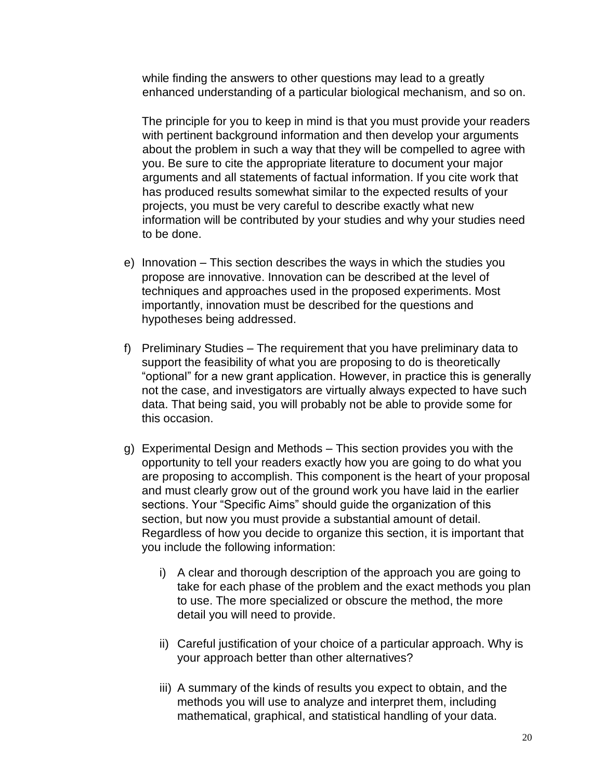while finding the answers to other questions may lead to a greatly enhanced understanding of a particular biological mechanism, and so on.

The principle for you to keep in mind is that you must provide your readers with pertinent background information and then develop your arguments about the problem in such a way that they will be compelled to agree with you. Be sure to cite the appropriate literature to document your major arguments and all statements of factual information. If you cite work that has produced results somewhat similar to the expected results of your projects, you must be very careful to describe exactly what new information will be contributed by your studies and why your studies need to be done.

- e) Innovation This section describes the ways in which the studies you propose are innovative. Innovation can be described at the level of techniques and approaches used in the proposed experiments. Most importantly, innovation must be described for the questions and hypotheses being addressed.
- f) Preliminary Studies The requirement that you have preliminary data to support the feasibility of what you are proposing to do is theoretically "optional" for a new grant application. However, in practice this is generally not the case, and investigators are virtually always expected to have such data. That being said, you will probably not be able to provide some for this occasion.
- g) Experimental Design and Methods This section provides you with the opportunity to tell your readers exactly how you are going to do what you are proposing to accomplish. This component is the heart of your proposal and must clearly grow out of the ground work you have laid in the earlier sections. Your "Specific Aims" should guide the organization of this section, but now you must provide a substantial amount of detail. Regardless of how you decide to organize this section, it is important that you include the following information:
	- i) A clear and thorough description of the approach you are going to take for each phase of the problem and the exact methods you plan to use. The more specialized or obscure the method, the more detail you will need to provide.
	- ii) Careful justification of your choice of a particular approach. Why is your approach better than other alternatives?
	- iii) A summary of the kinds of results you expect to obtain, and the methods you will use to analyze and interpret them, including mathematical, graphical, and statistical handling of your data.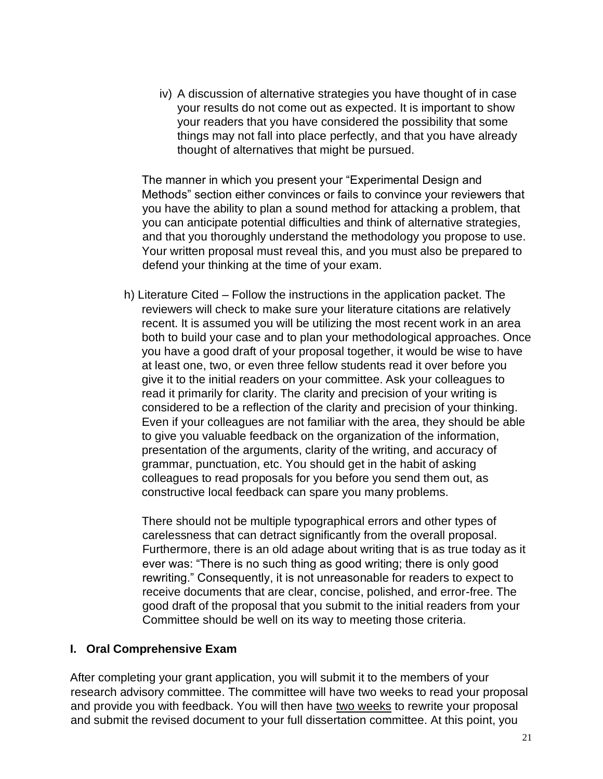iv) A discussion of alternative strategies you have thought of in case your results do not come out as expected. It is important to show your readers that you have considered the possibility that some things may not fall into place perfectly, and that you have already thought of alternatives that might be pursued.

The manner in which you present your "Experimental Design and Methods" section either convinces or fails to convince your reviewers that you have the ability to plan a sound method for attacking a problem, that you can anticipate potential difficulties and think of alternative strategies, and that you thoroughly understand the methodology you propose to use. Your written proposal must reveal this, and you must also be prepared to defend your thinking at the time of your exam.

h) Literature Cited – Follow the instructions in the application packet. The reviewers will check to make sure your literature citations are relatively recent. It is assumed you will be utilizing the most recent work in an area both to build your case and to plan your methodological approaches. Once you have a good draft of your proposal together, it would be wise to have at least one, two, or even three fellow students read it over before you give it to the initial readers on your committee. Ask your colleagues to read it primarily for clarity. The clarity and precision of your writing is considered to be a reflection of the clarity and precision of your thinking. Even if your colleagues are not familiar with the area, they should be able to give you valuable feedback on the organization of the information, presentation of the arguments, clarity of the writing, and accuracy of grammar, punctuation, etc. You should get in the habit of asking colleagues to read proposals for you before you send them out, as constructive local feedback can spare you many problems.

There should not be multiple typographical errors and other types of carelessness that can detract significantly from the overall proposal. Furthermore, there is an old adage about writing that is as true today as it ever was: "There is no such thing as good writing; there is only good rewriting." Consequently, it is not unreasonable for readers to expect to receive documents that are clear, concise, polished, and error-free. The good draft of the proposal that you submit to the initial readers from your Committee should be well on its way to meeting those criteria.

#### **I. Oral Comprehensive Exam**

After completing your grant application, you will submit it to the members of your research advisory committee. The committee will have two weeks to read your proposal and provide you with feedback. You will then have two weeks to rewrite your proposal and submit the revised document to your full dissertation committee. At this point, you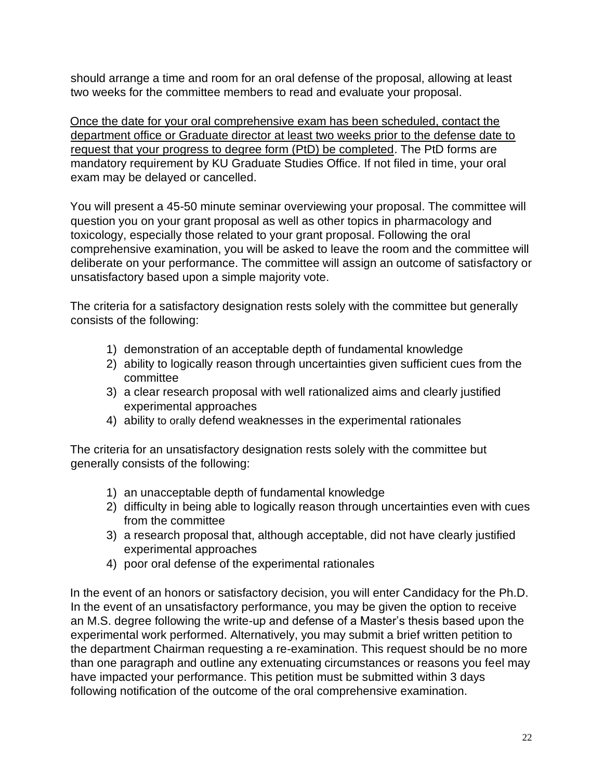should arrange a time and room for an oral defense of the proposal, allowing at least two weeks for the committee members to read and evaluate your proposal.

Once the date for your oral comprehensive exam has been scheduled, contact the department office or Graduate director at least two weeks prior to the defense date to request that your progress to degree form (PtD) be completed. The PtD forms are mandatory requirement by KU Graduate Studies Office. If not filed in time, your oral exam may be delayed or cancelled.

You will present a 45-50 minute seminar overviewing your proposal. The committee will question you on your grant proposal as well as other topics in pharmacology and toxicology, especially those related to your grant proposal. Following the oral comprehensive examination, you will be asked to leave the room and the committee will deliberate on your performance. The committee will assign an outcome of satisfactory or unsatisfactory based upon a simple majority vote.

The criteria for a satisfactory designation rests solely with the committee but generally consists of the following:

- 1) demonstration of an acceptable depth of fundamental knowledge
- 2) ability to logically reason through uncertainties given sufficient cues from the committee
- 3) a clear research proposal with well rationalized aims and clearly justified experimental approaches
- 4) ability to orally defend weaknesses in the experimental rationales

The criteria for an unsatisfactory designation rests solely with the committee but generally consists of the following:

- 1) an unacceptable depth of fundamental knowledge
- 2) difficulty in being able to logically reason through uncertainties even with cues from the committee
- 3) a research proposal that, although acceptable, did not have clearly justified experimental approaches
- 4) poor oral defense of the experimental rationales

In the event of an honors or satisfactory decision, you will enter Candidacy for the Ph.D. In the event of an unsatisfactory performance, you may be given the option to receive an M.S. degree following the write-up and defense of a Master's thesis based upon the experimental work performed. Alternatively, you may submit a brief written petition to the department Chairman requesting a re-examination. This request should be no more than one paragraph and outline any extenuating circumstances or reasons you feel may have impacted your performance. This petition must be submitted within 3 days following notification of the outcome of the oral comprehensive examination.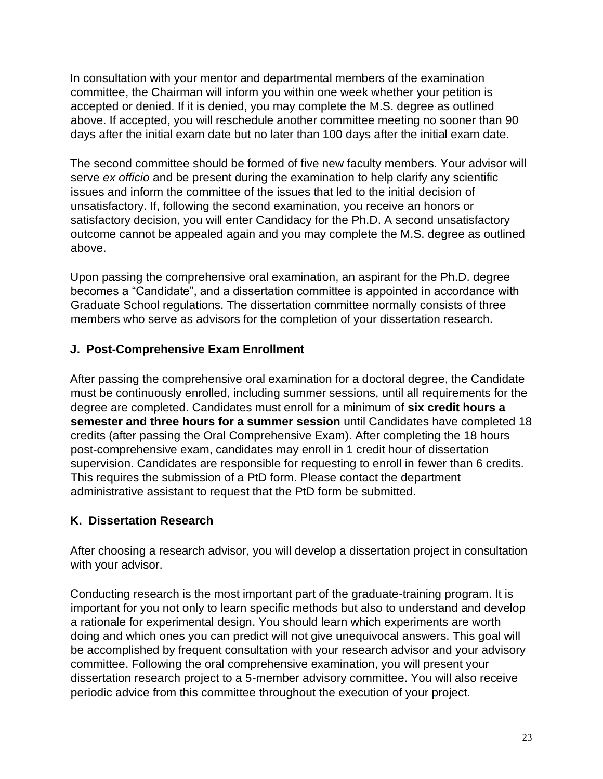In consultation with your mentor and departmental members of the examination committee, the Chairman will inform you within one week whether your petition is accepted or denied. If it is denied, you may complete the M.S. degree as outlined above. If accepted, you will reschedule another committee meeting no sooner than 90 days after the initial exam date but no later than 100 days after the initial exam date.

The second committee should be formed of five new faculty members. Your advisor will serve *ex officio* and be present during the examination to help clarify any scientific issues and inform the committee of the issues that led to the initial decision of unsatisfactory. If, following the second examination, you receive an honors or satisfactory decision, you will enter Candidacy for the Ph.D. A second unsatisfactory outcome cannot be appealed again and you may complete the M.S. degree as outlined above.

Upon passing the comprehensive oral examination, an aspirant for the Ph.D. degree becomes a "Candidate", and a dissertation committee is appointed in accordance with Graduate School regulations. The dissertation committee normally consists of three members who serve as advisors for the completion of your dissertation research.

## **J. Post-Comprehensive Exam Enrollment**

After passing the comprehensive oral examination for a doctoral degree, the Candidate must be continuously enrolled, including summer sessions, until all requirements for the degree are completed. Candidates must enroll for a minimum of **six credit hours a semester and three hours for a summer session** until Candidates have completed 18 credits (after passing the Oral Comprehensive Exam). After completing the 18 hours post-comprehensive exam, candidates may enroll in 1 credit hour of dissertation supervision. Candidates are responsible for requesting to enroll in fewer than 6 credits. This requires the submission of a PtD form. Please contact the department administrative assistant to request that the PtD form be submitted.

### **K. Dissertation Research**

After choosing a research advisor, you will develop a dissertation project in consultation with your advisor.

Conducting research is the most important part of the graduate-training program. It is important for you not only to learn specific methods but also to understand and develop a rationale for experimental design. You should learn which experiments are worth doing and which ones you can predict will not give unequivocal answers. This goal will be accomplished by frequent consultation with your research advisor and your advisory committee. Following the oral comprehensive examination, you will present your dissertation research project to a 5-member advisory committee. You will also receive periodic advice from this committee throughout the execution of your project.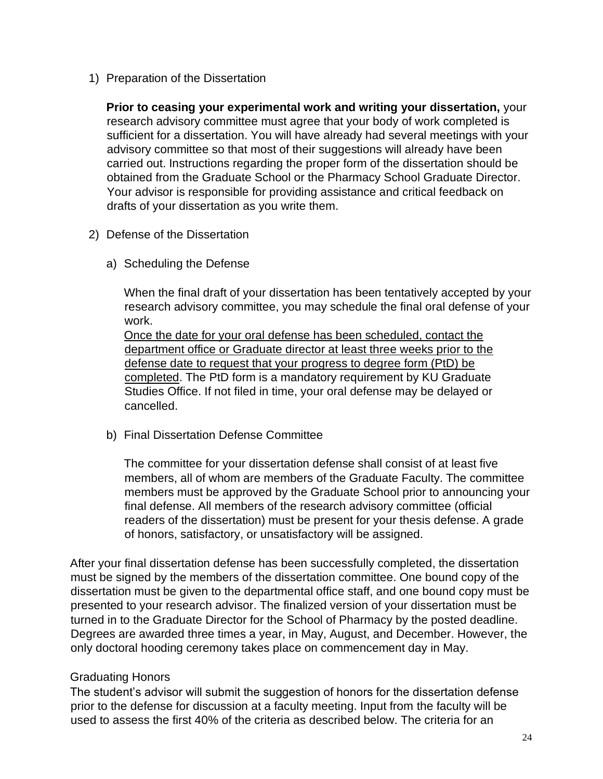1) Preparation of the Dissertation

**Prior to ceasing your experimental work and writing your dissertation,** your research advisory committee must agree that your body of work completed is sufficient for a dissertation. You will have already had several meetings with your advisory committee so that most of their suggestions will already have been carried out. Instructions regarding the proper form of the dissertation should be obtained from the Graduate School or the Pharmacy School Graduate Director. Your advisor is responsible for providing assistance and critical feedback on drafts of your dissertation as you write them.

- 2) Defense of the Dissertation
	- a) Scheduling the Defense

When the final draft of your dissertation has been tentatively accepted by your research advisory committee, you may schedule the final oral defense of your work.

Once the date for your oral defense has been scheduled, contact the department office or Graduate director at least three weeks prior to the defense date to request that your progress to degree form (PtD) be completed. The PtD form is a mandatory requirement by KU Graduate Studies Office. If not filed in time, your oral defense may be delayed or cancelled.

b) Final Dissertation Defense Committee

The committee for your dissertation defense shall consist of at least five members, all of whom are members of the Graduate Faculty. The committee members must be approved by the Graduate School prior to announcing your final defense. All members of the research advisory committee (official readers of the dissertation) must be present for your thesis defense. A grade of honors, satisfactory, or unsatisfactory will be assigned.

After your final dissertation defense has been successfully completed, the dissertation must be signed by the members of the dissertation committee. One bound copy of the dissertation must be given to the departmental office staff, and one bound copy must be presented to your research advisor. The finalized version of your dissertation must be turned in to the Graduate Director for the School of Pharmacy by the posted deadline. Degrees are awarded three times a year, in May, August, and December. However, the only doctoral hooding ceremony takes place on commencement day in May.

### Graduating Honors

The student's advisor will submit the suggestion of honors for the dissertation defense prior to the defense for discussion at a faculty meeting. Input from the faculty will be used to assess the first 40% of the criteria as described below. The criteria for an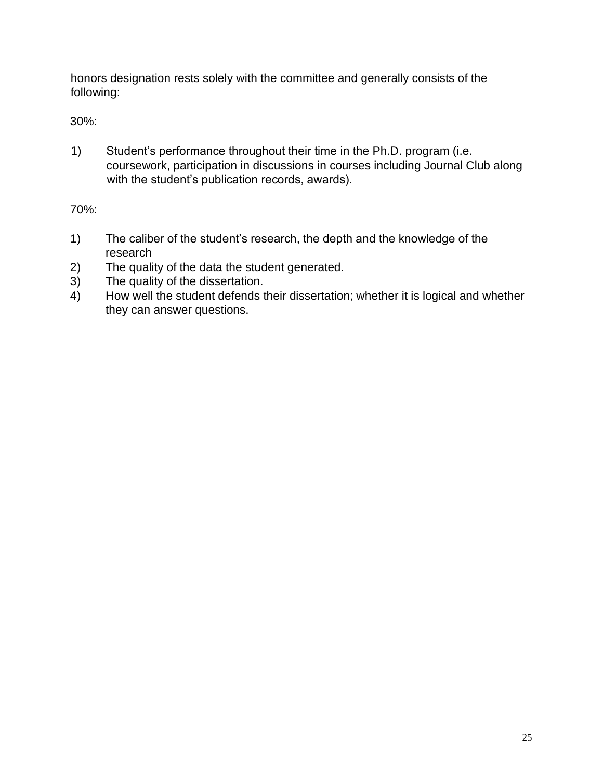honors designation rests solely with the committee and generally consists of the following:

30%:

1) Student's performance throughout their time in the Ph.D. program (i.e. coursework, participation in discussions in courses including Journal Club along with the student's publication records, awards).

70%:

- 1) The caliber of the student's research, the depth and the knowledge of the research
- 2) The quality of the data the student generated.
- 3) The quality of the dissertation.
- 4) How well the student defends their dissertation; whether it is logical and whether they can answer questions.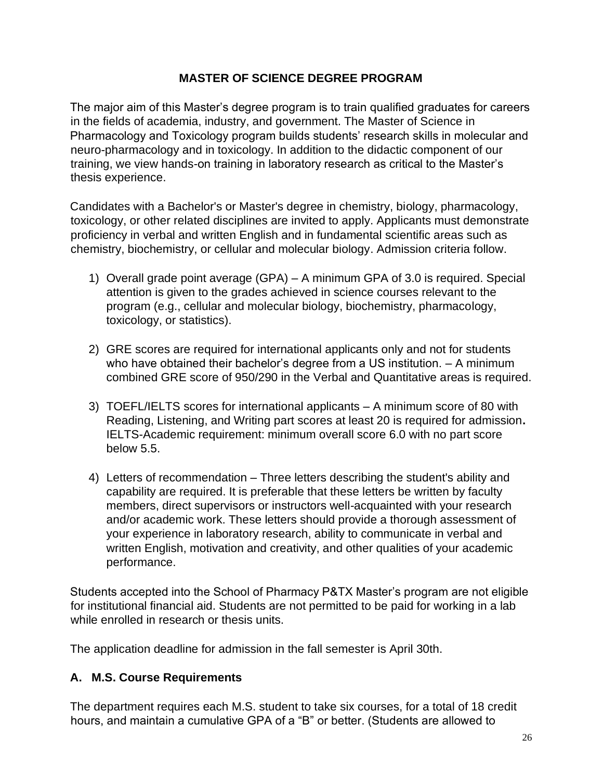### **MASTER OF SCIENCE DEGREE PROGRAM**

The major aim of this Master's degree program is to train qualified graduates for careers in the fields of academia, industry, and government. The Master of Science in Pharmacology and Toxicology program builds students' research skills in molecular and neuro-pharmacology and in toxicology. In addition to the didactic component of our training, we view hands-on training in laboratory research as critical to the Master's thesis experience.

Candidates with a Bachelor's or Master's degree in chemistry, biology, pharmacology, toxicology, or other related disciplines are invited to apply. Applicants must demonstrate proficiency in verbal and written English and in fundamental scientific areas such as chemistry, biochemistry, or cellular and molecular biology. Admission criteria follow.

- 1) Overall grade point average (GPA) A minimum GPA of 3.0 is required. Special attention is given to the grades achieved in science courses relevant to the program (e.g., cellular and molecular biology, biochemistry, pharmacology, toxicology, or statistics).
- 2) GRE scores are required for international applicants only and not for students who have obtained their bachelor's degree from a US institution. – A minimum combined GRE score of 950/290 in the Verbal and Quantitative areas is required.
- 3) TOEFL/IELTS scores for international applicants A minimum score of 80 with Reading, Listening, and Writing part scores at least 20 is required for admission**.**  IELTS-Academic requirement: minimum overall score 6.0 with no part score below 5.5.
- 4) Letters of recommendation Three letters describing the student's ability and capability are required. It is preferable that these letters be written by faculty members, direct supervisors or instructors well-acquainted with your research and/or academic work. These letters should provide a thorough assessment of your experience in laboratory research, ability to communicate in verbal and written English, motivation and creativity, and other qualities of your academic performance.

Students accepted into the School of Pharmacy P&TX Master's program are not eligible for institutional financial aid. Students are not permitted to be paid for working in a lab while enrolled in research or thesis units.

The application deadline for admission in the fall semester is April 30th.

# **A. M.S. Course Requirements**

The department requires each M.S. student to take six courses, for a total of 18 credit hours, and maintain a cumulative GPA of a "B" or better. (Students are allowed to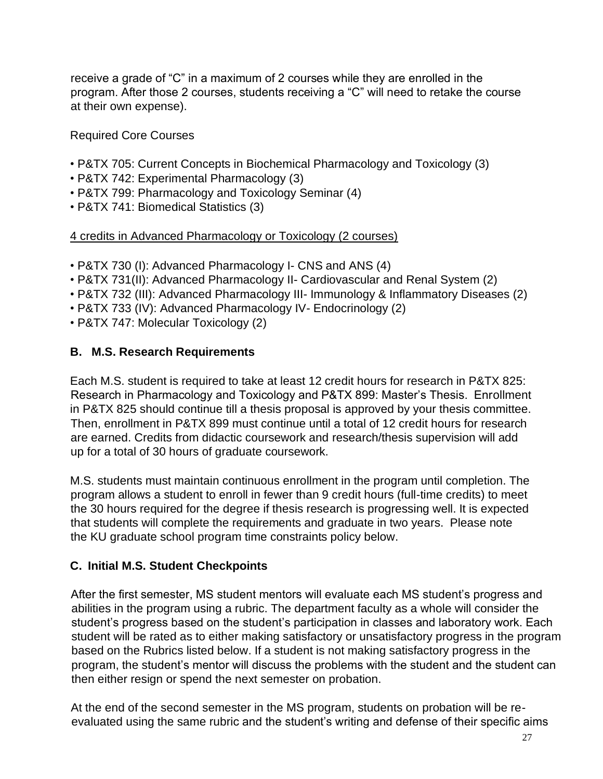receive a grade of "C" in a maximum of 2 courses while they are enrolled in the program. After those 2 courses, students receiving a "C" will need to retake the course at their own expense).

Required Core Courses

- P&TX 705: Current Concepts in Biochemical Pharmacology and Toxicology (3)
- P&TX 742: Experimental Pharmacology (3)
- P&TX 799: Pharmacology and Toxicology Seminar (4)
- P&TX 741: Biomedical Statistics (3)

## 4 credits in Advanced Pharmacology or Toxicology (2 courses)

- P&TX 730 (I): Advanced Pharmacology I- CNS and ANS (4)
- P&TX 731(II): Advanced Pharmacology II- Cardiovascular and Renal System (2)
- P&TX 732 (III): Advanced Pharmacology III- Immunology & Inflammatory Diseases (2)
- P&TX 733 (IV): Advanced Pharmacology IV- Endocrinology (2)
- P&TX 747: Molecular Toxicology (2)

# **B. M.S. Research Requirements**

Each M.S. student is required to take at least 12 credit hours for research in P&TX 825: Research in Pharmacology and Toxicology and P&TX 899: Master's Thesis. Enrollment in P&TX 825 should continue till a thesis proposal is approved by your thesis committee. Then, enrollment in P&TX 899 must continue until a total of 12 credit hours for research are earned. Credits from didactic coursework and research/thesis supervision will add up for a total of 30 hours of graduate coursework.

M.S. students must maintain continuous enrollment in the program until completion. The program allows a student to enroll in fewer than 9 credit hours (full-time credits) to meet the 30 hours required for the degree if thesis research is progressing well. It is expected that students will complete the requirements and graduate in two years. Please note the KU graduate school program time constraints policy below.

# **C. Initial M.S. Student Checkpoints**

After the first semester, MS student mentors will evaluate each MS student's progress and abilities in the program using a rubric. The department faculty as a whole will consider the student's progress based on the student's participation in classes and laboratory work. Each student will be rated as to either making satisfactory or unsatisfactory progress in the program based on the Rubrics listed below. If a student is not making satisfactory progress in the program, the student's mentor will discuss the problems with the student and the student can then either resign or spend the next semester on probation.

At the end of the second semester in the MS program, students on probation will be reevaluated using the same rubric and the student's writing and defense of their specific aims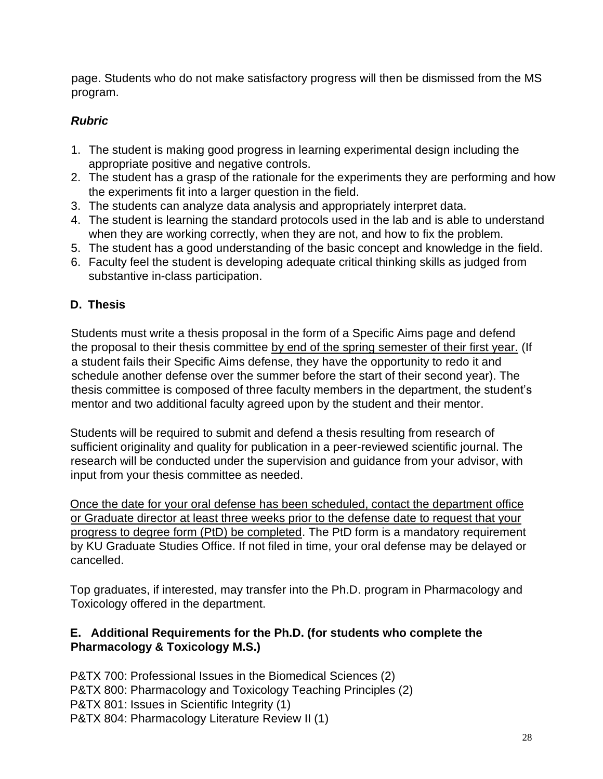page. Students who do not make satisfactory progress will then be dismissed from the MS program.

# *Rubric*

- 1. The student is making good progress in learning experimental design including the appropriate positive and negative controls.
- 2. The student has a grasp of the rationale for the experiments they are performing and how the experiments fit into a larger question in the field.
- 3. The students can analyze data analysis and appropriately interpret data.
- 4. The student is learning the standard protocols used in the lab and is able to understand when they are working correctly, when they are not, and how to fix the problem.
- 5. The student has a good understanding of the basic concept and knowledge in the field.
- 6. Faculty feel the student is developing adequate critical thinking skills as judged from substantive in-class participation.

# **D. Thesis**

Students must write a thesis proposal in the form of a Specific Aims page and defend the proposal to their thesis committee by end of the spring semester of their first year. (If a student fails their Specific Aims defense, they have the opportunity to redo it and schedule another defense over the summer before the start of their second year). The thesis committee is composed of three faculty members in the department, the student's mentor and two additional faculty agreed upon by the student and their mentor.

Students will be required to submit and defend a thesis resulting from research of sufficient originality and quality for publication in a peer-reviewed scientific journal. The research will be conducted under the supervision and guidance from your advisor, with input from your thesis committee as needed.

Once the date for your oral defense has been scheduled, contact the department office or Graduate director at least three weeks prior to the defense date to request that your progress to degree form (PtD) be completed. The PtD form is a mandatory requirement by KU Graduate Studies Office. If not filed in time, your oral defense may be delayed or cancelled.

Top graduates, if interested, may transfer into the Ph.D. program in Pharmacology and Toxicology offered in the department.

# **E. Additional Requirements for the Ph.D. (for students who complete the Pharmacology & Toxicology M.S.)**

P&TX 700: Professional Issues in the Biomedical Sciences (2) P&TX 800: Pharmacology and Toxicology Teaching Principles (2) P&TX 801: Issues in Scientific Integrity (1) P&TX 804: Pharmacology Literature Review II (1)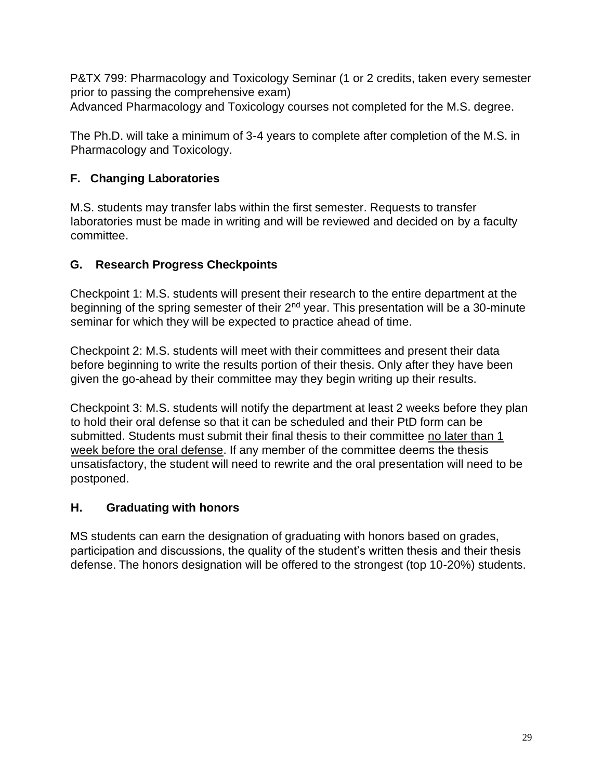P&TX 799: Pharmacology and Toxicology Seminar (1 or 2 credits, taken every semester prior to passing the comprehensive exam)

Advanced Pharmacology and Toxicology courses not completed for the M.S. degree.

The Ph.D. will take a minimum of 3-4 years to complete after completion of the M.S. in Pharmacology and Toxicology.

# **F. Changing Laboratories**

M.S. students may transfer labs within the first semester. Requests to transfer laboratories must be made in writing and will be reviewed and decided on by a faculty committee.

# **G. Research Progress Checkpoints**

Checkpoint 1: M.S. students will present their research to the entire department at the beginning of the spring semester of their  $2<sup>nd</sup>$  year. This presentation will be a 30-minute seminar for which they will be expected to practice ahead of time.

Checkpoint 2: M.S. students will meet with their committees and present their data before beginning to write the results portion of their thesis. Only after they have been given the go-ahead by their committee may they begin writing up their results.

Checkpoint 3: M.S. students will notify the department at least 2 weeks before they plan to hold their oral defense so that it can be scheduled and their PtD form can be submitted. Students must submit their final thesis to their committee no later than 1 week before the oral defense. If any member of the committee deems the thesis unsatisfactory, the student will need to rewrite and the oral presentation will need to be postponed.

# **H. Graduating with honors**

MS students can earn the designation of graduating with honors based on grades, participation and discussions, the quality of the student's written thesis and their thesis defense. The honors designation will be offered to the strongest (top 10-20%) students.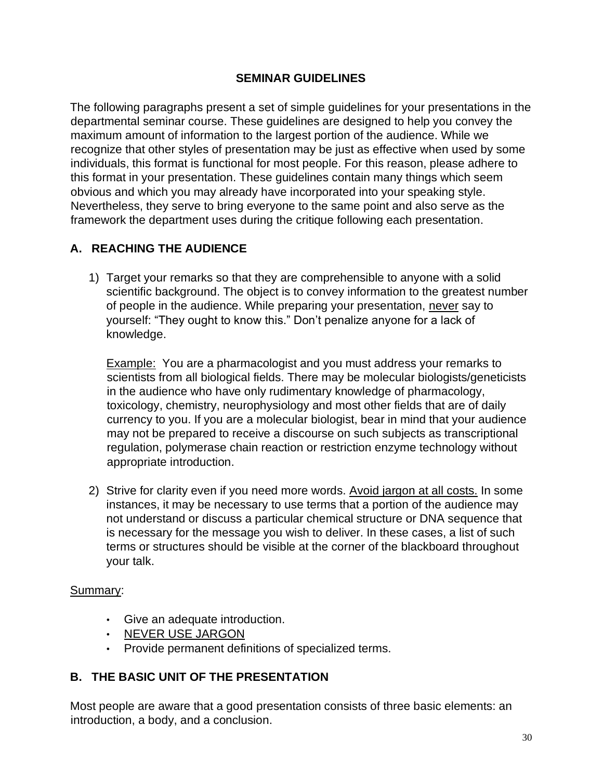### **SEMINAR GUIDELINES**

The following paragraphs present a set of simple guidelines for your presentations in the departmental seminar course. These guidelines are designed to help you convey the maximum amount of information to the largest portion of the audience. While we recognize that other styles of presentation may be just as effective when used by some individuals, this format is functional for most people. For this reason, please adhere to this format in your presentation. These guidelines contain many things which seem obvious and which you may already have incorporated into your speaking style. Nevertheless, they serve to bring everyone to the same point and also serve as the framework the department uses during the critique following each presentation.

# **A. REACHING THE AUDIENCE**

1) Target your remarks so that they are comprehensible to anyone with a solid scientific background. The object is to convey information to the greatest number of people in the audience. While preparing your presentation, never say to yourself: "They ought to know this." Don't penalize anyone for a lack of knowledge.

Example: You are a pharmacologist and you must address your remarks to scientists from all biological fields. There may be molecular biologists/geneticists in the audience who have only rudimentary knowledge of pharmacology, toxicology, chemistry, neurophysiology and most other fields that are of daily currency to you. If you are a molecular biologist, bear in mind that your audience may not be prepared to receive a discourse on such subjects as transcriptional regulation, polymerase chain reaction or restriction enzyme technology without appropriate introduction.

2) Strive for clarity even if you need more words. Avoid jargon at all costs. In some instances, it may be necessary to use terms that a portion of the audience may not understand or discuss a particular chemical structure or DNA sequence that is necessary for the message you wish to deliver. In these cases, a list of such terms or structures should be visible at the corner of the blackboard throughout your talk.

#### Summary:

- Give an adequate introduction.
- NEVER USE JARGON
- Provide permanent definitions of specialized terms.

### **B. THE BASIC UNIT OF THE PRESENTATION**

Most people are aware that a good presentation consists of three basic elements: an introduction, a body, and a conclusion.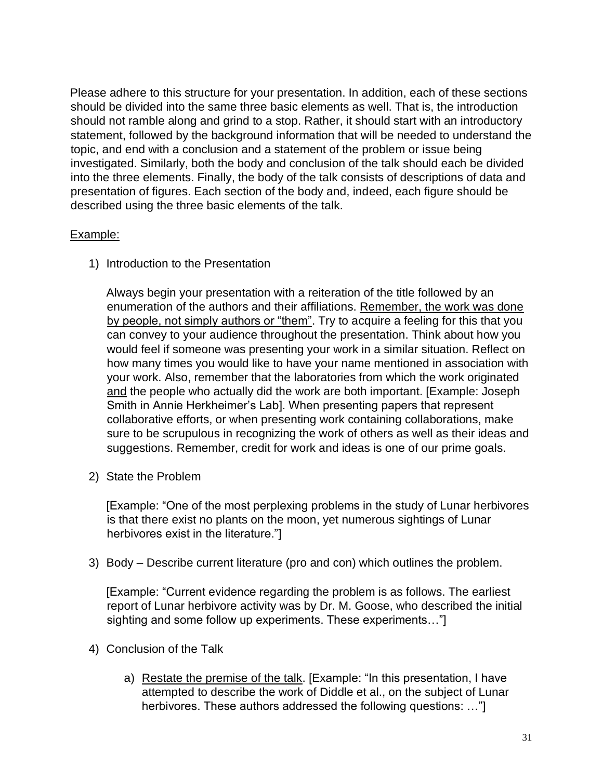Please adhere to this structure for your presentation. In addition, each of these sections should be divided into the same three basic elements as well. That is, the introduction should not ramble along and grind to a stop. Rather, it should start with an introductory statement, followed by the background information that will be needed to understand the topic, and end with a conclusion and a statement of the problem or issue being investigated. Similarly, both the body and conclusion of the talk should each be divided into the three elements. Finally, the body of the talk consists of descriptions of data and presentation of figures. Each section of the body and, indeed, each figure should be described using the three basic elements of the talk.

### Example:

1) Introduction to the Presentation

Always begin your presentation with a reiteration of the title followed by an enumeration of the authors and their affiliations. Remember, the work was done by people, not simply authors or "them". Try to acquire a feeling for this that you can convey to your audience throughout the presentation. Think about how you would feel if someone was presenting your work in a similar situation. Reflect on how many times you would like to have your name mentioned in association with your work. Also, remember that the laboratories from which the work originated and the people who actually did the work are both important. [Example: Joseph Smith in Annie Herkheimer's Lab]. When presenting papers that represent collaborative efforts, or when presenting work containing collaborations, make sure to be scrupulous in recognizing the work of others as well as their ideas and suggestions. Remember, credit for work and ideas is one of our prime goals.

2) State the Problem

[Example: "One of the most perplexing problems in the study of Lunar herbivores is that there exist no plants on the moon, yet numerous sightings of Lunar herbivores exist in the literature."]

3) Body – Describe current literature (pro and con) which outlines the problem.

[Example: "Current evidence regarding the problem is as follows. The earliest report of Lunar herbivore activity was by Dr. M. Goose, who described the initial sighting and some follow up experiments. These experiments…"]

- 4) Conclusion of the Talk
	- a) Restate the premise of the talk. [Example: "In this presentation, I have attempted to describe the work of Diddle et al., on the subject of Lunar herbivores. These authors addressed the following questions: …"]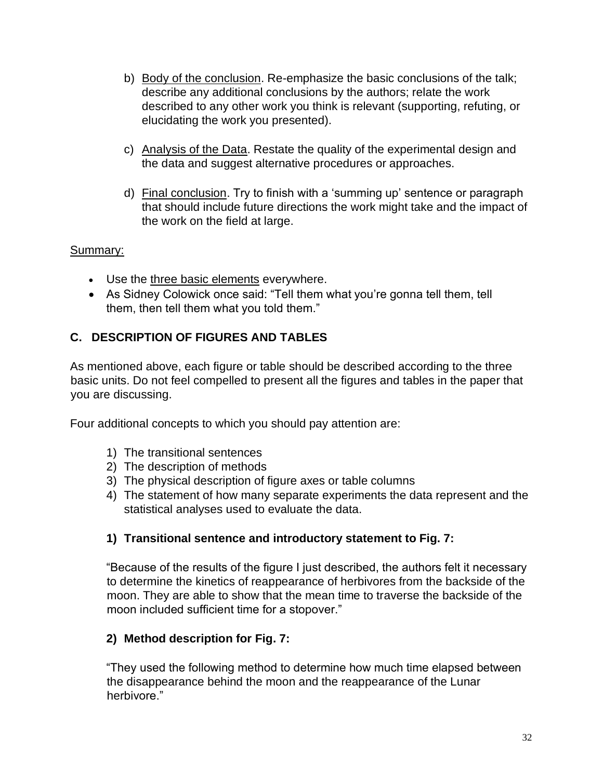- b) Body of the conclusion. Re-emphasize the basic conclusions of the talk; describe any additional conclusions by the authors; relate the work described to any other work you think is relevant (supporting, refuting, or elucidating the work you presented).
- c) Analysis of the Data. Restate the quality of the experimental design and the data and suggest alternative procedures or approaches.
- d) Final conclusion. Try to finish with a 'summing up' sentence or paragraph that should include future directions the work might take and the impact of the work on the field at large.

## Summary:

- Use the three basic elements everywhere.
- As Sidney Colowick once said: "Tell them what you're gonna tell them, tell them, then tell them what you told them."

# **C. DESCRIPTION OF FIGURES AND TABLES**

As mentioned above, each figure or table should be described according to the three basic units. Do not feel compelled to present all the figures and tables in the paper that you are discussing.

Four additional concepts to which you should pay attention are:

- 1) The transitional sentences
- 2) The description of methods
- 3) The physical description of figure axes or table columns
- 4) The statement of how many separate experiments the data represent and the statistical analyses used to evaluate the data.

# **1) Transitional sentence and introductory statement to Fig. 7:**

"Because of the results of the figure I just described, the authors felt it necessary to determine the kinetics of reappearance of herbivores from the backside of the moon. They are able to show that the mean time to traverse the backside of the moon included sufficient time for a stopover."

# **2) Method description for Fig. 7:**

"They used the following method to determine how much time elapsed between the disappearance behind the moon and the reappearance of the Lunar herbivore."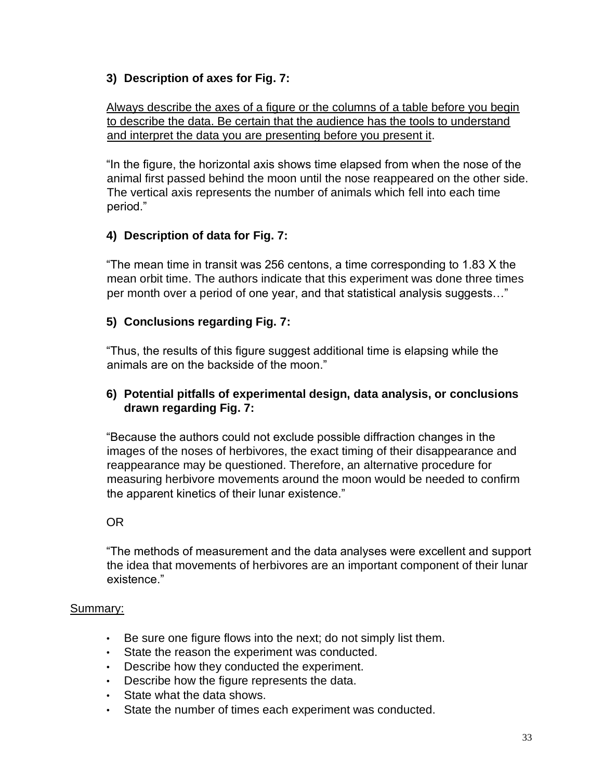### **3) Description of axes for Fig. 7:**

Always describe the axes of a figure or the columns of a table before you begin to describe the data. Be certain that the audience has the tools to understand and interpret the data you are presenting before you present it.

"In the figure, the horizontal axis shows time elapsed from when the nose of the animal first passed behind the moon until the nose reappeared on the other side. The vertical axis represents the number of animals which fell into each time period."

## **4) Description of data for Fig. 7:**

"The mean time in transit was 256 centons, a time corresponding to 1.83 X the mean orbit time. The authors indicate that this experiment was done three times per month over a period of one year, and that statistical analysis suggests…"

### **5) Conclusions regarding Fig. 7:**

"Thus, the results of this figure suggest additional time is elapsing while the animals are on the backside of the moon."

### **6) Potential pitfalls of experimental design, data analysis, or conclusions drawn regarding Fig. 7:**

"Because the authors could not exclude possible diffraction changes in the images of the noses of herbivores, the exact timing of their disappearance and reappearance may be questioned. Therefore, an alternative procedure for measuring herbivore movements around the moon would be needed to confirm the apparent kinetics of their lunar existence."

### OR

"The methods of measurement and the data analyses were excellent and support the idea that movements of herbivores are an important component of their lunar existence."

#### Summary:

- Be sure one figure flows into the next; do not simply list them.
- State the reason the experiment was conducted.
- Describe how they conducted the experiment.
- Describe how the figure represents the data.
- State what the data shows.
- State the number of times each experiment was conducted.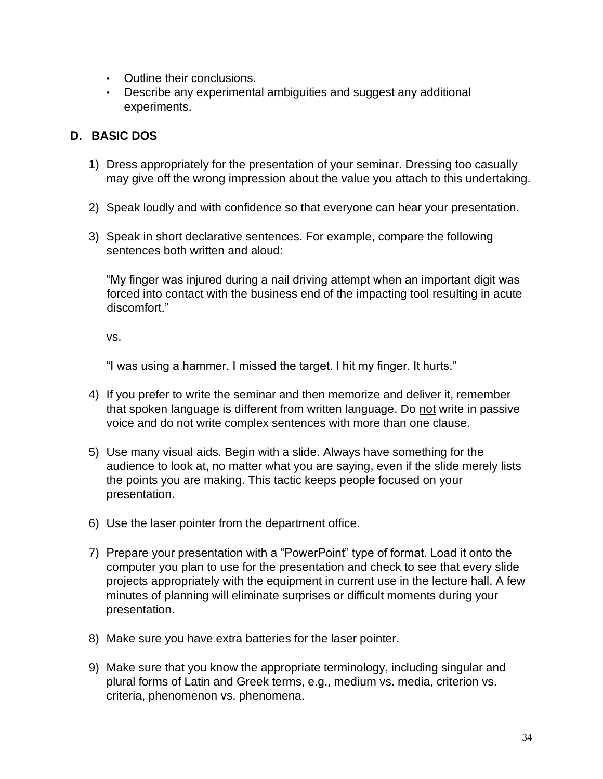- Outline their conclusions.
- Describe any experimental ambiguities and suggest any additional experiments.

## **D. BASIC DOS**

- 1) Dress appropriately for the presentation of your seminar. Dressing too casually may give off the wrong impression about the value you attach to this undertaking.
- 2) Speak loudly and with confidence so that everyone can hear your presentation.
- 3) Speak in short declarative sentences. For example, compare the following sentences both written and aloud:

"My finger was injured during a nail driving attempt when an important digit was forced into contact with the business end of the impacting tool resulting in acute discomfort."

vs.

"I was using a hammer. I missed the target. I hit my finger. It hurts."

- 4) If you prefer to write the seminar and then memorize and deliver it, remember that spoken language is different from written language. Do not write in passive voice and do not write complex sentences with more than one clause.
- 5) Use many visual aids. Begin with a slide. Always have something for the audience to look at, no matter what you are saying, even if the slide merely lists the points you are making. This tactic keeps people focused on your presentation.
- 6) Use the laser pointer from the department office.
- 7) Prepare your presentation with a "PowerPoint" type of format. Load it onto the computer you plan to use for the presentation and check to see that every slide projects appropriately with the equipment in current use in the lecture hall. A few minutes of planning will eliminate surprises or difficult moments during your presentation.
- 8) Make sure you have extra batteries for the laser pointer.
- 9) Make sure that you know the appropriate terminology, including singular and plural forms of Latin and Greek terms, e.g., medium vs. media, criterion vs. criteria, phenomenon vs. phenomena.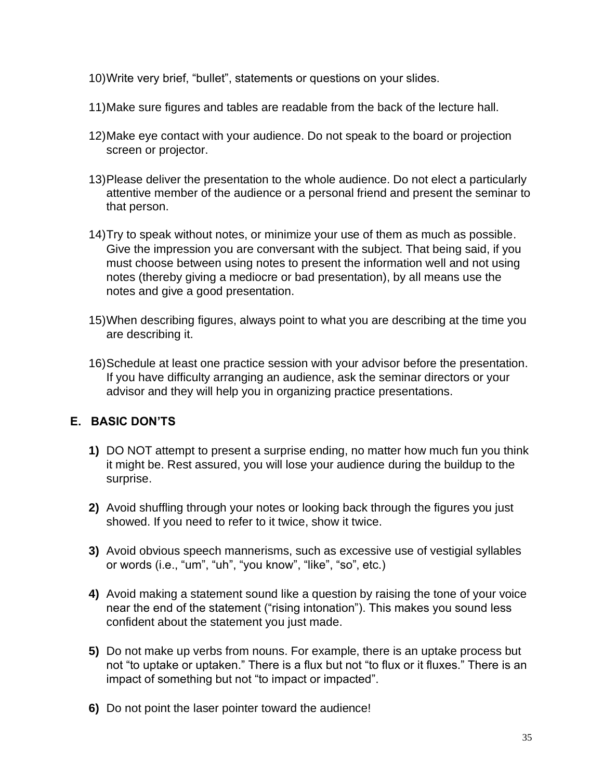- 10)Write very brief, "bullet", statements or questions on your slides.
- 11)Make sure figures and tables are readable from the back of the lecture hall.
- 12)Make eye contact with your audience. Do not speak to the board or projection screen or projector.
- 13)Please deliver the presentation to the whole audience. Do not elect a particularly attentive member of the audience or a personal friend and present the seminar to that person.
- 14)Try to speak without notes, or minimize your use of them as much as possible. Give the impression you are conversant with the subject. That being said, if you must choose between using notes to present the information well and not using notes (thereby giving a mediocre or bad presentation), by all means use the notes and give a good presentation.
- 15)When describing figures, always point to what you are describing at the time you are describing it.
- 16)Schedule at least one practice session with your advisor before the presentation. If you have difficulty arranging an audience, ask the seminar directors or your advisor and they will help you in organizing practice presentations.

# **E. BASIC DON'TS**

- **1)** DO NOT attempt to present a surprise ending, no matter how much fun you think it might be. Rest assured, you will lose your audience during the buildup to the surprise.
- **2)** Avoid shuffling through your notes or looking back through the figures you just showed. If you need to refer to it twice, show it twice.
- **3)** Avoid obvious speech mannerisms, such as excessive use of vestigial syllables or words (i.e., "um", "uh", "you know", "like", "so", etc.)
- **4)** Avoid making a statement sound like a question by raising the tone of your voice near the end of the statement ("rising intonation"). This makes you sound less confident about the statement you just made.
- **5)** Do not make up verbs from nouns. For example, there is an uptake process but not "to uptake or uptaken." There is a flux but not "to flux or it fluxes." There is an impact of something but not "to impact or impacted".
- **6)** Do not point the laser pointer toward the audience!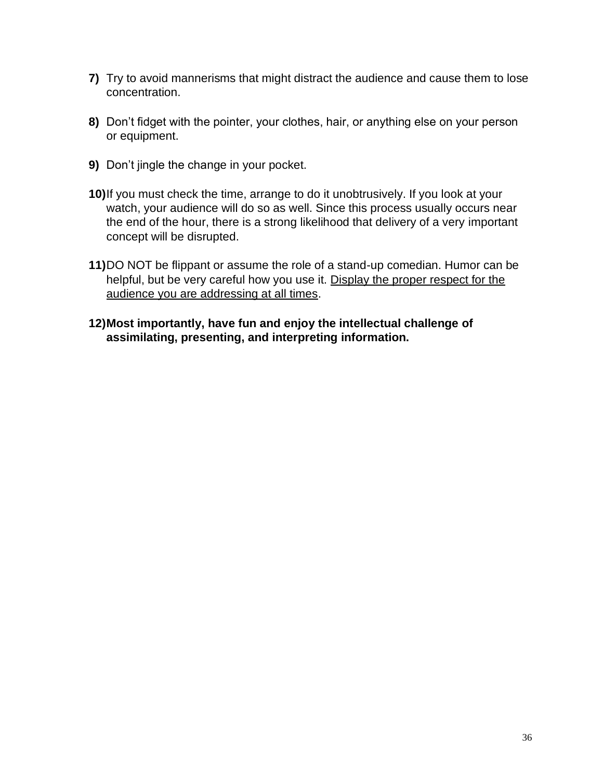- **7)** Try to avoid mannerisms that might distract the audience and cause them to lose concentration.
- **8)** Don't fidget with the pointer, your clothes, hair, or anything else on your person or equipment.
- **9)** Don't jingle the change in your pocket.
- **10)**If you must check the time, arrange to do it unobtrusively. If you look at your watch, your audience will do so as well. Since this process usually occurs near the end of the hour, there is a strong likelihood that delivery of a very important concept will be disrupted.
- **11)**DO NOT be flippant or assume the role of a stand-up comedian. Humor can be helpful, but be very careful how you use it. Display the proper respect for the audience you are addressing at all times.
- **12)Most importantly, have fun and enjoy the intellectual challenge of assimilating, presenting, and interpreting information.**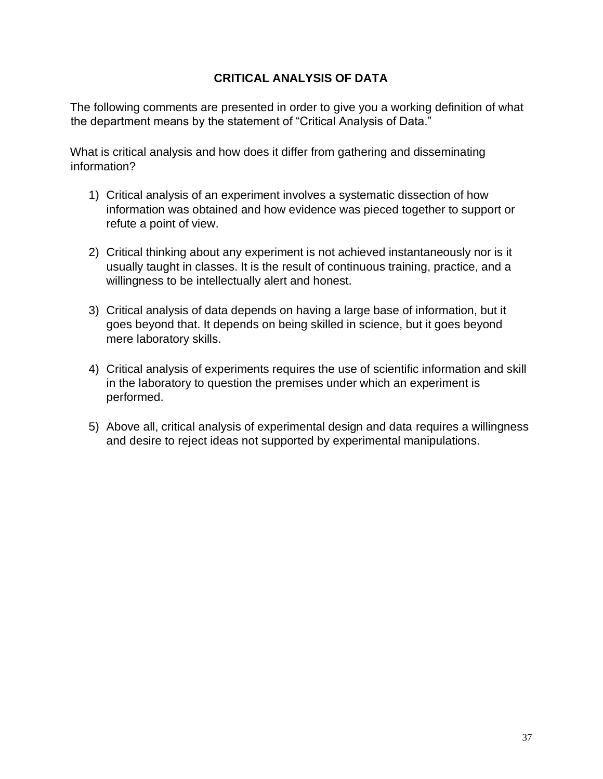### **CRITICAL ANALYSIS OF DATA**

The following comments are presented in order to give you a working definition of what the department means by the statement of "Critical Analysis of Data."

What is critical analysis and how does it differ from gathering and disseminating information?

- 1) Critical analysis of an experiment involves a systematic dissection of how information was obtained and how evidence was pieced together to support or refute a point of view.
- 2) Critical thinking about any experiment is not achieved instantaneously nor is it usually taught in classes. It is the result of continuous training, practice, and a willingness to be intellectually alert and honest.
- 3) Critical analysis of data depends on having a large base of information, but it goes beyond that. It depends on being skilled in science, but it goes beyond mere laboratory skills.
- 4) Critical analysis of experiments requires the use of scientific information and skill in the laboratory to question the premises under which an experiment is performed.
- 5) Above all, critical analysis of experimental design and data requires a willingness and desire to reject ideas not supported by experimental manipulations.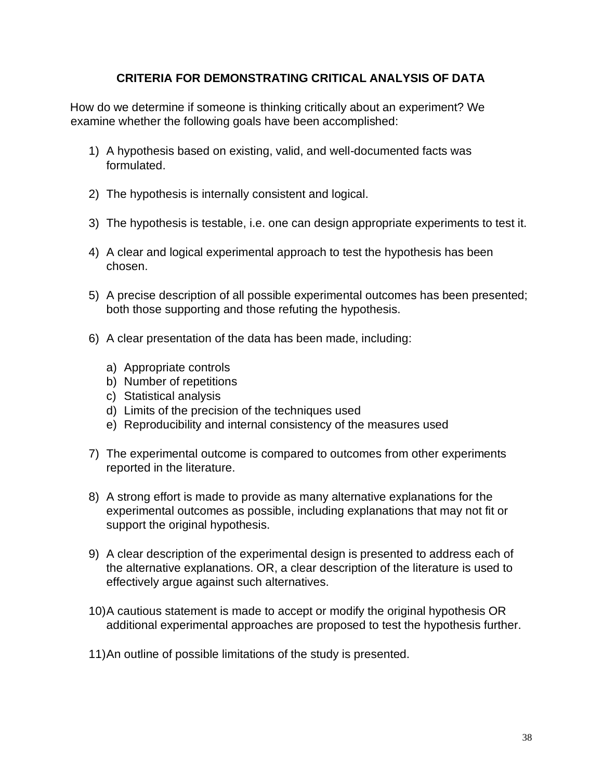### **CRITERIA FOR DEMONSTRATING CRITICAL ANALYSIS OF DATA**

How do we determine if someone is thinking critically about an experiment? We examine whether the following goals have been accomplished:

- 1) A hypothesis based on existing, valid, and well-documented facts was formulated.
- 2) The hypothesis is internally consistent and logical.
- 3) The hypothesis is testable, i.e. one can design appropriate experiments to test it.
- 4) A clear and logical experimental approach to test the hypothesis has been chosen.
- 5) A precise description of all possible experimental outcomes has been presented; both those supporting and those refuting the hypothesis.
- 6) A clear presentation of the data has been made, including:
	- a) Appropriate controls
	- b) Number of repetitions
	- c) Statistical analysis
	- d) Limits of the precision of the techniques used
	- e) Reproducibility and internal consistency of the measures used
- 7) The experimental outcome is compared to outcomes from other experiments reported in the literature.
- 8) A strong effort is made to provide as many alternative explanations for the experimental outcomes as possible, including explanations that may not fit or support the original hypothesis.
- 9) A clear description of the experimental design is presented to address each of the alternative explanations. OR, a clear description of the literature is used to effectively argue against such alternatives.
- 10)A cautious statement is made to accept or modify the original hypothesis OR additional experimental approaches are proposed to test the hypothesis further.
- 11)An outline of possible limitations of the study is presented.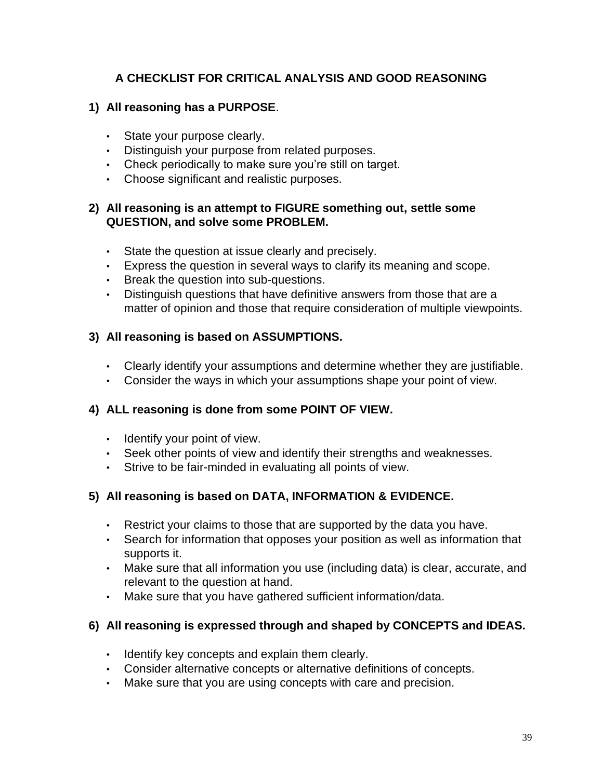# **A CHECKLIST FOR CRITICAL ANALYSIS AND GOOD REASONING**

### **1) All reasoning has a PURPOSE**.

- State your purpose clearly.
- Distinguish your purpose from related purposes.
- Check periodically to make sure you're still on target.
- Choose significant and realistic purposes.

### **2) All reasoning is an attempt to FIGURE something out, settle some QUESTION, and solve some PROBLEM.**

- State the question at issue clearly and precisely.
- Express the question in several ways to clarify its meaning and scope.
- Break the question into sub-questions.
- Distinguish questions that have definitive answers from those that are a matter of opinion and those that require consideration of multiple viewpoints.

## **3) All reasoning is based on ASSUMPTIONS.**

- Clearly identify your assumptions and determine whether they are justifiable.
- Consider the ways in which your assumptions shape your point of view.

### **4) ALL reasoning is done from some POINT OF VIEW.**

- Identify your point of view.
- Seek other points of view and identify their strengths and weaknesses.
- Strive to be fair-minded in evaluating all points of view.

### **5) All reasoning is based on DATA, INFORMATION & EVIDENCE.**

- Restrict your claims to those that are supported by the data you have.
- Search for information that opposes your position as well as information that supports it.
- Make sure that all information you use (including data) is clear, accurate, and relevant to the question at hand.
- Make sure that you have gathered sufficient information/data.

### **6) All reasoning is expressed through and shaped by CONCEPTS and IDEAS.**

- Identify key concepts and explain them clearly.
- Consider alternative concepts or alternative definitions of concepts.
- Make sure that you are using concepts with care and precision.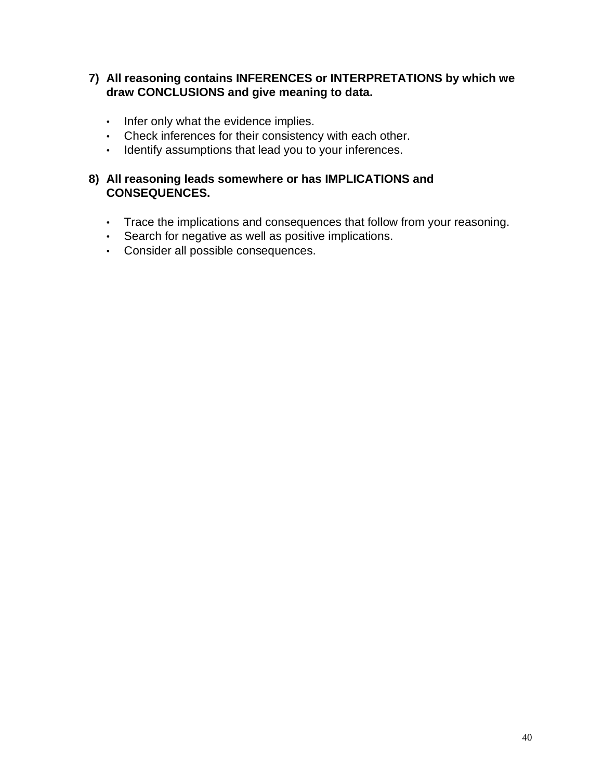### **7) All reasoning contains INFERENCES or INTERPRETATIONS by which we draw CONCLUSIONS and give meaning to data.**

- Infer only what the evidence implies.
- Check inferences for their consistency with each other.
- Identify assumptions that lead you to your inferences.

### **8) All reasoning leads somewhere or has IMPLICATIONS and CONSEQUENCES.**

- Trace the implications and consequences that follow from your reasoning.
- Search for negative as well as positive implications.
- Consider all possible consequences.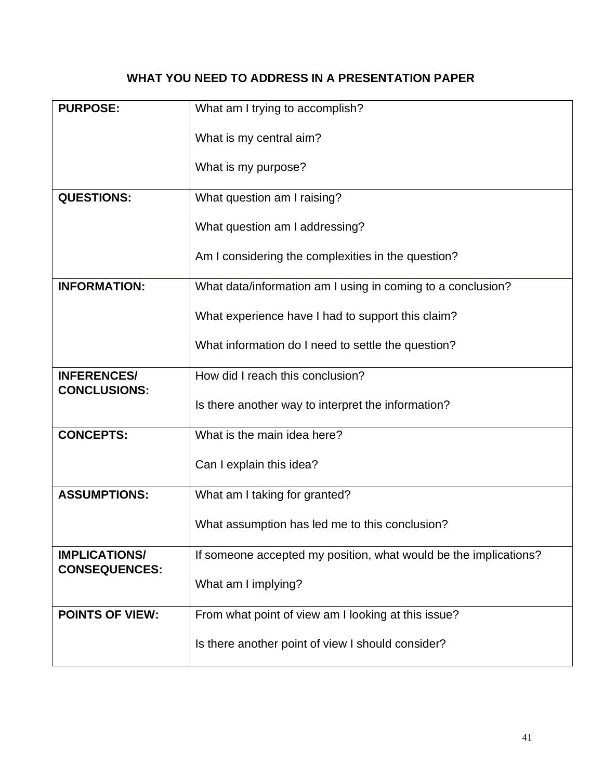# **WHAT YOU NEED TO ADDRESS IN A PRESENTATION PAPER**

| <b>PURPOSE:</b>                              | What am I trying to accomplish?                                  |
|----------------------------------------------|------------------------------------------------------------------|
|                                              | What is my central aim?                                          |
|                                              | What is my purpose?                                              |
| <b>QUESTIONS:</b>                            | What question am I raising?                                      |
|                                              | What question am I addressing?                                   |
|                                              | Am I considering the complexities in the question?               |
| <b>INFORMATION:</b>                          | What data/information am I using in coming to a conclusion?      |
|                                              | What experience have I had to support this claim?                |
|                                              | What information do I need to settle the question?               |
| <b>INFERENCES/</b><br><b>CONCLUSIONS:</b>    | How did I reach this conclusion?                                 |
|                                              | Is there another way to interpret the information?               |
| <b>CONCEPTS:</b>                             | What is the main idea here?                                      |
|                                              | Can I explain this idea?                                         |
| <b>ASSUMPTIONS:</b>                          | What am I taking for granted?                                    |
|                                              | What assumption has led me to this conclusion?                   |
| <b>IMPLICATIONS/</b><br><b>CONSEQUENCES:</b> | If someone accepted my position, what would be the implications? |
|                                              | What am I implying?                                              |
| <b>POINTS OF VIEW:</b>                       | From what point of view am I looking at this issue?              |
|                                              | Is there another point of view I should consider?                |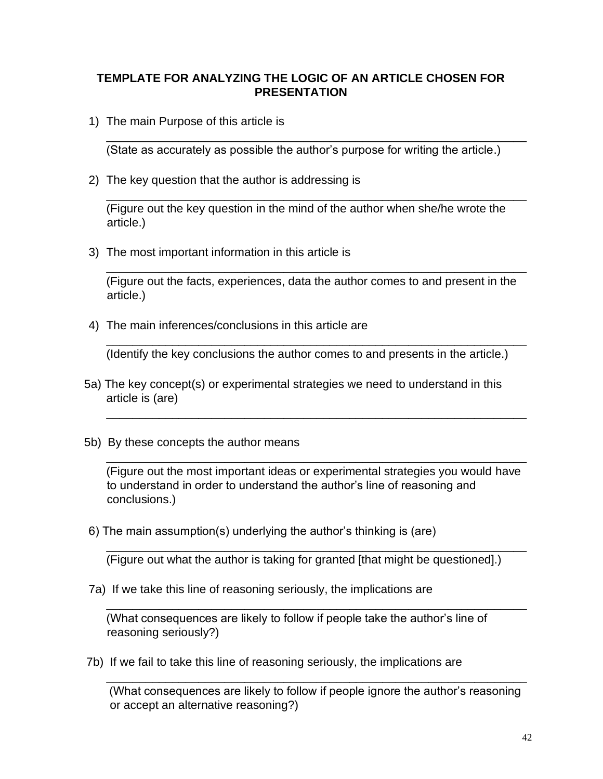### **TEMPLATE FOR ANALYZING THE LOGIC OF AN ARTICLE CHOSEN FOR PRESENTATION**

1) The main Purpose of this article is

(State as accurately as possible the author's purpose for writing the article.)

\_\_\_\_\_\_\_\_\_\_\_\_\_\_\_\_\_\_\_\_\_\_\_\_\_\_\_\_\_\_\_\_\_\_\_\_\_\_\_\_\_\_\_\_\_\_\_\_\_\_\_\_\_\_\_\_\_\_\_\_\_\_\_\_

2) The key question that the author is addressing is

\_\_\_\_\_\_\_\_\_\_\_\_\_\_\_\_\_\_\_\_\_\_\_\_\_\_\_\_\_\_\_\_\_\_\_\_\_\_\_\_\_\_\_\_\_\_\_\_\_\_\_\_\_\_\_\_\_\_\_\_\_\_\_\_ (Figure out the key question in the mind of the author when she/he wrote the article.)

3) The most important information in this article is

(Figure out the facts, experiences, data the author comes to and present in the article.)

\_\_\_\_\_\_\_\_\_\_\_\_\_\_\_\_\_\_\_\_\_\_\_\_\_\_\_\_\_\_\_\_\_\_\_\_\_\_\_\_\_\_\_\_\_\_\_\_\_\_\_\_\_\_\_\_\_\_\_\_\_\_\_\_

4) The main inferences/conclusions in this article are

(Identify the key conclusions the author comes to and presents in the article.)

\_\_\_\_\_\_\_\_\_\_\_\_\_\_\_\_\_\_\_\_\_\_\_\_\_\_\_\_\_\_\_\_\_\_\_\_\_\_\_\_\_\_\_\_\_\_\_\_\_\_\_\_\_\_\_\_\_\_\_\_\_\_\_\_

\_\_\_\_\_\_\_\_\_\_\_\_\_\_\_\_\_\_\_\_\_\_\_\_\_\_\_\_\_\_\_\_\_\_\_\_\_\_\_\_\_\_\_\_\_\_\_\_\_\_\_\_\_\_\_\_\_\_\_\_\_\_\_\_

- 5a) The key concept(s) or experimental strategies we need to understand in this article is (are)
- 5b) By these concepts the author means

(Figure out the most important ideas or experimental strategies you would have to understand in order to understand the author's line of reasoning and conclusions.)

\_\_\_\_\_\_\_\_\_\_\_\_\_\_\_\_\_\_\_\_\_\_\_\_\_\_\_\_\_\_\_\_\_\_\_\_\_\_\_\_\_\_\_\_\_\_\_\_\_\_\_\_\_\_\_\_\_\_\_\_\_\_\_\_

\_\_\_\_\_\_\_\_\_\_\_\_\_\_\_\_\_\_\_\_\_\_\_\_\_\_\_\_\_\_\_\_\_\_\_\_\_\_\_\_\_\_\_\_\_\_\_\_\_\_\_\_\_\_\_\_\_\_\_\_\_\_\_\_

\_\_\_\_\_\_\_\_\_\_\_\_\_\_\_\_\_\_\_\_\_\_\_\_\_\_\_\_\_\_\_\_\_\_\_\_\_\_\_\_\_\_\_\_\_\_\_\_\_\_\_\_\_\_\_\_\_\_\_\_\_\_\_\_

6) The main assumption(s) underlying the author's thinking is (are)

(Figure out what the author is taking for granted [that might be questioned].)

7a) If we take this line of reasoning seriously, the implications are

(What consequences are likely to follow if people take the author's line of reasoning seriously?)

7b) If we fail to take this line of reasoning seriously, the implications are

(What consequences are likely to follow if people ignore the author's reasoning or accept an alternative reasoning?)

\_\_\_\_\_\_\_\_\_\_\_\_\_\_\_\_\_\_\_\_\_\_\_\_\_\_\_\_\_\_\_\_\_\_\_\_\_\_\_\_\_\_\_\_\_\_\_\_\_\_\_\_\_\_\_\_\_\_\_\_\_\_\_\_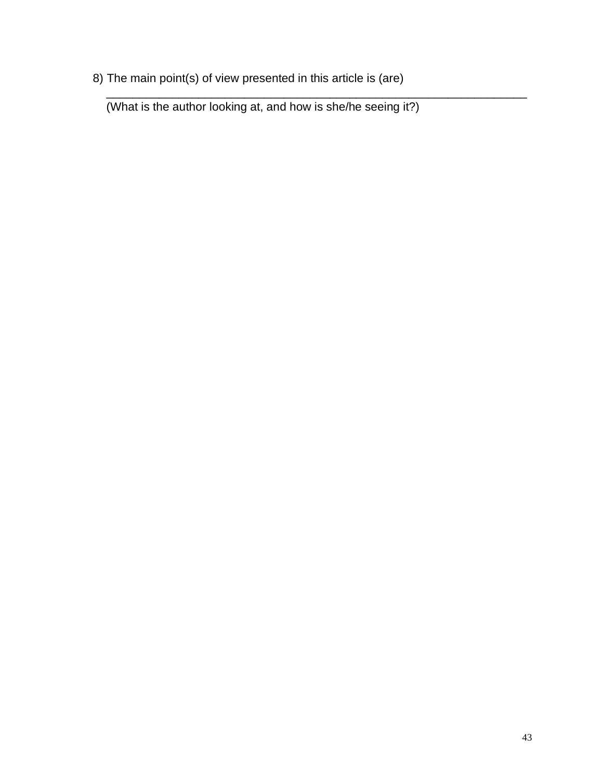8) The main point(s) of view presented in this article is (are)

(What is the author looking at, and how is she/he seeing it?)

\_\_\_\_\_\_\_\_\_\_\_\_\_\_\_\_\_\_\_\_\_\_\_\_\_\_\_\_\_\_\_\_\_\_\_\_\_\_\_\_\_\_\_\_\_\_\_\_\_\_\_\_\_\_\_\_\_\_\_\_\_\_\_\_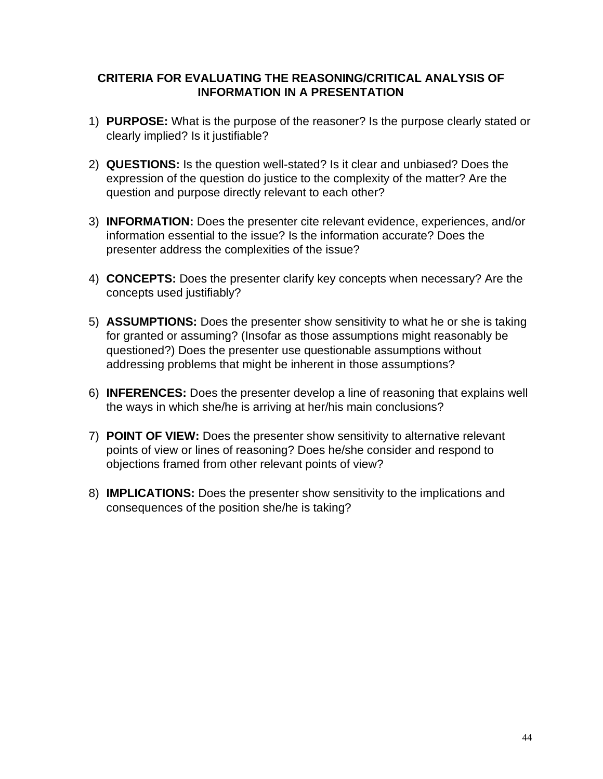### **CRITERIA FOR EVALUATING THE REASONING/CRITICAL ANALYSIS OF INFORMATION IN A PRESENTATION**

- 1) **PURPOSE:** What is the purpose of the reasoner? Is the purpose clearly stated or clearly implied? Is it justifiable?
- 2) **QUESTIONS:** Is the question well-stated? Is it clear and unbiased? Does the expression of the question do justice to the complexity of the matter? Are the question and purpose directly relevant to each other?
- 3) **INFORMATION:** Does the presenter cite relevant evidence, experiences, and/or information essential to the issue? Is the information accurate? Does the presenter address the complexities of the issue?
- 4) **CONCEPTS:** Does the presenter clarify key concepts when necessary? Are the concepts used justifiably?
- 5) **ASSUMPTIONS:** Does the presenter show sensitivity to what he or she is taking for granted or assuming? (Insofar as those assumptions might reasonably be questioned?) Does the presenter use questionable assumptions without addressing problems that might be inherent in those assumptions?
- 6) **INFERENCES:** Does the presenter develop a line of reasoning that explains well the ways in which she/he is arriving at her/his main conclusions?
- 7) **POINT OF VIEW:** Does the presenter show sensitivity to alternative relevant points of view or lines of reasoning? Does he/she consider and respond to objections framed from other relevant points of view?
- 8) **IMPLICATIONS:** Does the presenter show sensitivity to the implications and consequences of the position she/he is taking?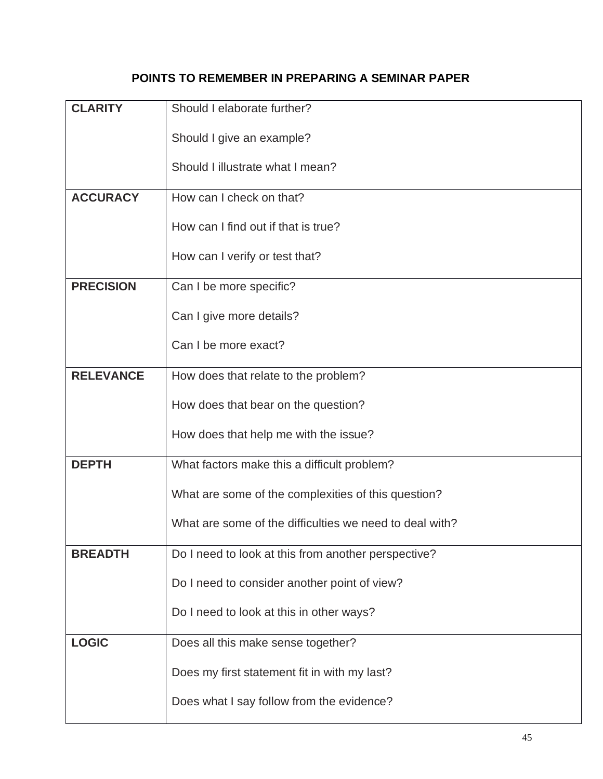# **POINTS TO REMEMBER IN PREPARING A SEMINAR PAPER**

| <b>CLARITY</b>   | Should I elaborate further?                             |
|------------------|---------------------------------------------------------|
|                  | Should I give an example?                               |
|                  | Should I illustrate what I mean?                        |
| <b>ACCURACY</b>  | How can I check on that?                                |
|                  | How can I find out if that is true?                     |
|                  |                                                         |
|                  | How can I verify or test that?                          |
| <b>PRECISION</b> | Can I be more specific?                                 |
|                  | Can I give more details?                                |
|                  | Can I be more exact?                                    |
| <b>RELEVANCE</b> | How does that relate to the problem?                    |
|                  | How does that bear on the question?                     |
|                  |                                                         |
|                  | How does that help me with the issue?                   |
| <b>DEPTH</b>     | What factors make this a difficult problem?             |
|                  | What are some of the complexities of this question?     |
|                  | What are some of the difficulties we need to deal with? |
| <b>BREADTH</b>   | Do I need to look at this from another perspective?     |
|                  | Do I need to consider another point of view?            |
|                  | Do I need to look at this in other ways?                |
|                  |                                                         |
| <b>LOGIC</b>     | Does all this make sense together?                      |
|                  | Does my first statement fit in with my last?            |
|                  | Does what I say follow from the evidence?               |